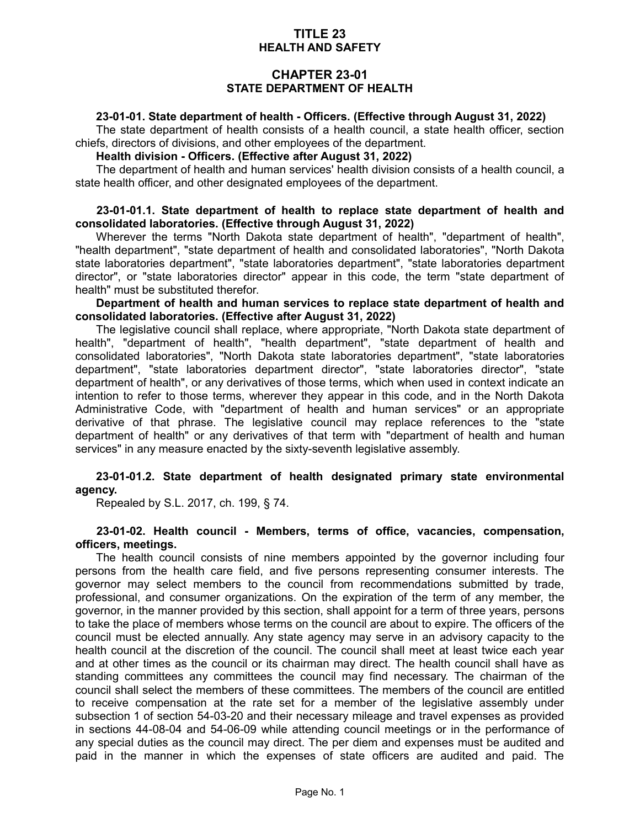# **TITLE 23 HEALTH AND SAFETY**

# **CHAPTER 23-01 STATE DEPARTMENT OF HEALTH**

### **23-01-01. State department of health - Officers. (Effective through August 31, 2022)**

The state department of health consists of a health council, a state health officer, section chiefs, directors of divisions, and other employees of the department.

### **Health division - Officers. (Effective after August 31, 2022)**

The department of health and human services' health division consists of a health council, a state health officer, and other designated employees of the department.

#### **23-01-01.1. State department of health to replace state department of health and consolidated laboratories. (Effective through August 31, 2022)**

Wherever the terms "North Dakota state department of health", "department of health", "health department", "state department of health and consolidated laboratories", "North Dakota state laboratories department", "state laboratories department", "state laboratories department director", or "state laboratories director" appear in this code, the term "state department of health" must be substituted therefor.

**Department of health and human services to replace state department of health and consolidated laboratories. (Effective after August 31, 2022)**

The legislative council shall replace, where appropriate, "North Dakota state department of health", "department of health", "health department", "state department of health and consolidated laboratories", "North Dakota state laboratories department", "state laboratories department", "state laboratories department director", "state laboratories director", "state department of health", or any derivatives of those terms, which when used in context indicate an intention to refer to those terms, wherever they appear in this code, and in the North Dakota Administrative Code, with "department of health and human services" or an appropriate derivative of that phrase. The legislative council may replace references to the "state department of health" or any derivatives of that term with "department of health and human services" in any measure enacted by the sixty-seventh legislative assembly.

### **23-01-01.2. State department of health designated primary state environmental agency.**

Repealed by S.L. 2017, ch. 199, § 74.

#### **23-01-02. Health council - Members, terms of office, vacancies, compensation, officers, meetings.**

The health council consists of nine members appointed by the governor including four persons from the health care field, and five persons representing consumer interests. The governor may select members to the council from recommendations submitted by trade, professional, and consumer organizations. On the expiration of the term of any member, the governor, in the manner provided by this section, shall appoint for a term of three years, persons to take the place of members whose terms on the council are about to expire. The officers of the council must be elected annually. Any state agency may serve in an advisory capacity to the health council at the discretion of the council. The council shall meet at least twice each year and at other times as the council or its chairman may direct. The health council shall have as standing committees any committees the council may find necessary. The chairman of the council shall select the members of these committees. The members of the council are entitled to receive compensation at the rate set for a member of the legislative assembly under subsection 1 of section 54-03-20 and their necessary mileage and travel expenses as provided in sections 44-08-04 and 54-06-09 while attending council meetings or in the performance of any special duties as the council may direct. The per diem and expenses must be audited and paid in the manner in which the expenses of state officers are audited and paid. The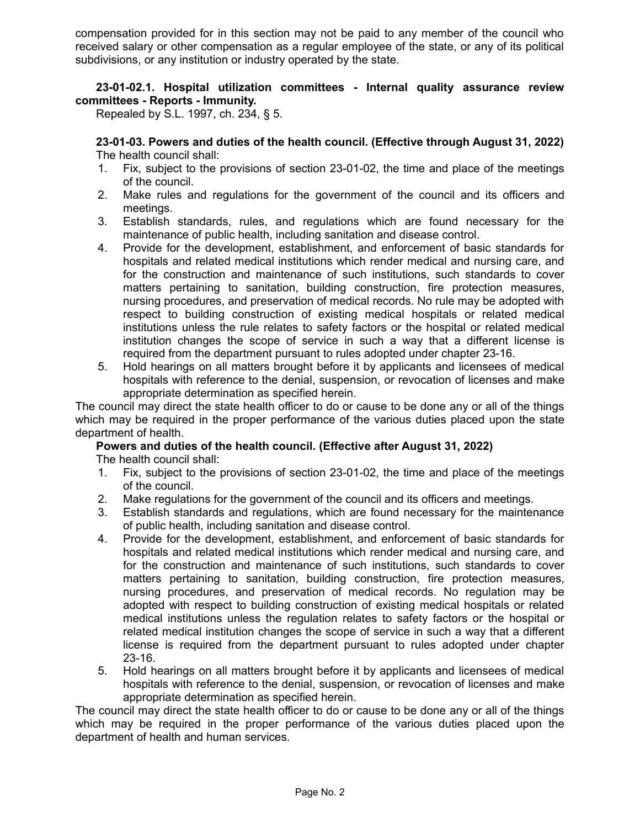compensation provided for in this section may not be paid to any member of the council who received salary or other compensation as a regular employee of the state, or any of its political subdivisions, or any institution or industry operated by the state.

# **23-01-02.1. Hospital utilization committees - Internal quality assurance review committees - Reports - Immunity.**

Repealed by S.L. 1997, ch. 234, § 5.

**23-01-03. Powers and duties of the health council. (Effective through August 31, 2022)** The health council shall:

- 1. Fix, subject to the provisions of section 23-01-02, the time and place of the meetings of the council.
- 2. Make rules and regulations for the government of the council and its officers and meetings.
- 3. Establish standards, rules, and regulations which are found necessary for the maintenance of public health, including sanitation and disease control.
- 4. Provide for the development, establishment, and enforcement of basic standards for hospitals and related medical institutions which render medical and nursing care, and for the construction and maintenance of such institutions, such standards to cover matters pertaining to sanitation, building construction, fire protection measures, nursing procedures, and preservation of medical records. No rule may be adopted with respect to building construction of existing medical hospitals or related medical institutions unless the rule relates to safety factors or the hospital or related medical institution changes the scope of service in such a way that a different license is required from the department pursuant to rules adopted under chapter 23-16.
- 5. Hold hearings on all matters brought before it by applicants and licensees of medical hospitals with reference to the denial, suspension, or revocation of licenses and make appropriate determination as specified herein.

The council may direct the state health officer to do or cause to be done any or all of the things which may be required in the proper performance of the various duties placed upon the state department of health.

## **Powers and duties of the health council. (Effective after August 31, 2022)** The health council shall:

- 1. Fix, subject to the provisions of section 23-01-02, the time and place of the meetings of the council.
- 2. Make regulations for the government of the council and its officers and meetings.
- 3. Establish standards and regulations, which are found necessary for the maintenance of public health, including sanitation and disease control.
- 4. Provide for the development, establishment, and enforcement of basic standards for hospitals and related medical institutions which render medical and nursing care, and for the construction and maintenance of such institutions, such standards to cover matters pertaining to sanitation, building construction, fire protection measures, nursing procedures, and preservation of medical records. No regulation may be adopted with respect to building construction of existing medical hospitals or related medical institutions unless the regulation relates to safety factors or the hospital or related medical institution changes the scope of service in such a way that a different license is required from the department pursuant to rules adopted under chapter 23-16.
- 5. Hold hearings on all matters brought before it by applicants and licensees of medical hospitals with reference to the denial, suspension, or revocation of licenses and make appropriate determination as specified herein.

The council may direct the state health officer to do or cause to be done any or all of the things which may be required in the proper performance of the various duties placed upon the department of health and human services.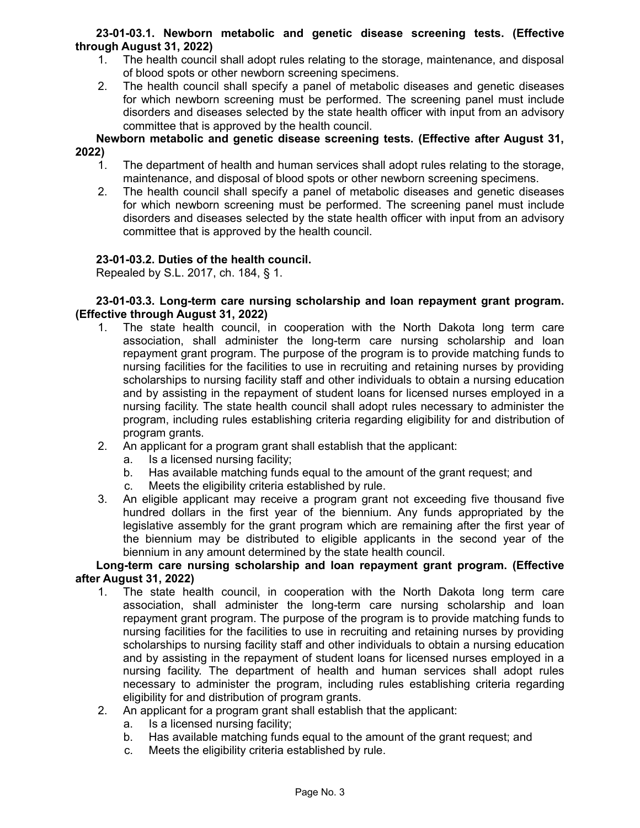## **23-01-03.1. Newborn metabolic and genetic disease screening tests. (Effective through August 31, 2022)**

- 1. The health council shall adopt rules relating to the storage, maintenance, and disposal of blood spots or other newborn screening specimens.
- 2. The health council shall specify a panel of metabolic diseases and genetic diseases for which newborn screening must be performed. The screening panel must include disorders and diseases selected by the state health officer with input from an advisory committee that is approved by the health council.

**Newborn metabolic and genetic disease screening tests. (Effective after August 31, 2022)**

- 1. The department of health and human services shall adopt rules relating to the storage, maintenance, and disposal of blood spots or other newborn screening specimens.
- 2. The health council shall specify a panel of metabolic diseases and genetic diseases for which newborn screening must be performed. The screening panel must include disorders and diseases selected by the state health officer with input from an advisory committee that is approved by the health council.

# **23-01-03.2. Duties of the health council.**

Repealed by S.L. 2017, ch. 184, § 1.

## **23-01-03.3. Long-term care nursing scholarship and loan repayment grant program. (Effective through August 31, 2022)**

- 1. The state health council, in cooperation with the North Dakota long term care association, shall administer the long-term care nursing scholarship and loan repayment grant program. The purpose of the program is to provide matching funds to nursing facilities for the facilities to use in recruiting and retaining nurses by providing scholarships to nursing facility staff and other individuals to obtain a nursing education and by assisting in the repayment of student loans for licensed nurses employed in a nursing facility. The state health council shall adopt rules necessary to administer the program, including rules establishing criteria regarding eligibility for and distribution of program grants.
- 2. An applicant for a program grant shall establish that the applicant:
	- a. Is a licensed nursing facility;
	- b. Has available matching funds equal to the amount of the grant request; and
	- c. Meets the eligibility criteria established by rule.
- 3. An eligible applicant may receive a program grant not exceeding five thousand five hundred dollars in the first year of the biennium. Any funds appropriated by the legislative assembly for the grant program which are remaining after the first year of the biennium may be distributed to eligible applicants in the second year of the biennium in any amount determined by the state health council.

## **Long-term care nursing scholarship and loan repayment grant program. (Effective after August 31, 2022)**

- 1. The state health council, in cooperation with the North Dakota long term care association, shall administer the long-term care nursing scholarship and loan repayment grant program. The purpose of the program is to provide matching funds to nursing facilities for the facilities to use in recruiting and retaining nurses by providing scholarships to nursing facility staff and other individuals to obtain a nursing education and by assisting in the repayment of student loans for licensed nurses employed in a nursing facility. The department of health and human services shall adopt rules necessary to administer the program, including rules establishing criteria regarding eligibility for and distribution of program grants.
- 2. An applicant for a program grant shall establish that the applicant:
	- a. Is a licensed nursing facility;
	- b. Has available matching funds equal to the amount of the grant request; and
	- c. Meets the eligibility criteria established by rule.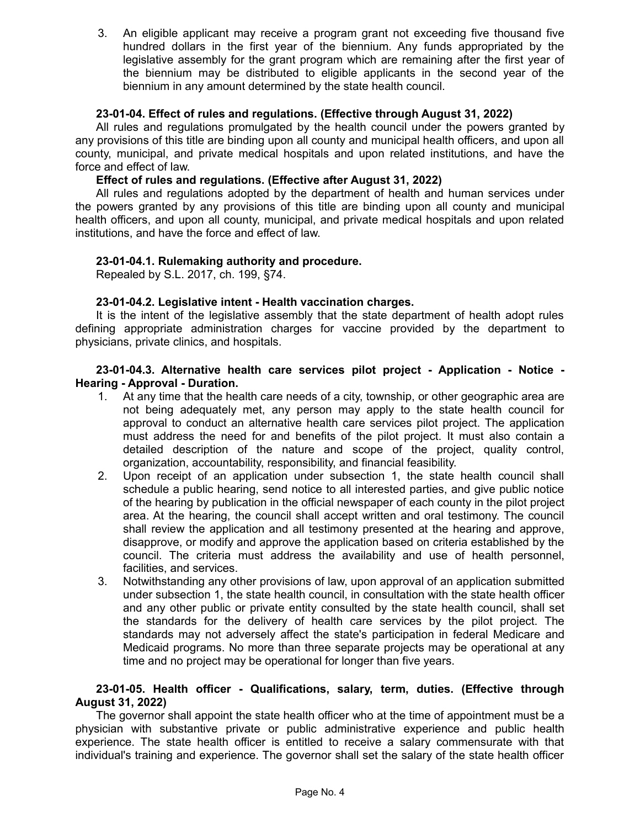3. An eligible applicant may receive a program grant not exceeding five thousand five hundred dollars in the first year of the biennium. Any funds appropriated by the legislative assembly for the grant program which are remaining after the first year of the biennium may be distributed to eligible applicants in the second year of the biennium in any amount determined by the state health council.

## **23-01-04. Effect of rules and regulations. (Effective through August 31, 2022)**

All rules and regulations promulgated by the health council under the powers granted by any provisions of this title are binding upon all county and municipal health officers, and upon all county, municipal, and private medical hospitals and upon related institutions, and have the force and effect of law.

### **Effect of rules and regulations. (Effective after August 31, 2022)**

All rules and regulations adopted by the department of health and human services under the powers granted by any provisions of this title are binding upon all county and municipal health officers, and upon all county, municipal, and private medical hospitals and upon related institutions, and have the force and effect of law.

## **23-01-04.1. Rulemaking authority and procedure.**

Repealed by S.L. 2017, ch. 199, §74.

## **23-01-04.2. Legislative intent - Health vaccination charges.**

It is the intent of the legislative assembly that the state department of health adopt rules defining appropriate administration charges for vaccine provided by the department to physicians, private clinics, and hospitals.

### **23-01-04.3. Alternative health care services pilot project - Application - Notice - Hearing - Approval - Duration.**

- 1. At any time that the health care needs of a city, township, or other geographic area are not being adequately met, any person may apply to the state health council for approval to conduct an alternative health care services pilot project. The application must address the need for and benefits of the pilot project. It must also contain a detailed description of the nature and scope of the project, quality control, organization, accountability, responsibility, and financial feasibility.
- 2. Upon receipt of an application under subsection 1, the state health council shall schedule a public hearing, send notice to all interested parties, and give public notice of the hearing by publication in the official newspaper of each county in the pilot project area. At the hearing, the council shall accept written and oral testimony. The council shall review the application and all testimony presented at the hearing and approve, disapprove, or modify and approve the application based on criteria established by the council. The criteria must address the availability and use of health personnel, facilities, and services.
- 3. Notwithstanding any other provisions of law, upon approval of an application submitted under subsection 1, the state health council, in consultation with the state health officer and any other public or private entity consulted by the state health council, shall set the standards for the delivery of health care services by the pilot project. The standards may not adversely affect the state's participation in federal Medicare and Medicaid programs. No more than three separate projects may be operational at any time and no project may be operational for longer than five years.

# **23-01-05. Health officer - Qualifications, salary, term, duties. (Effective through August 31, 2022)**

The governor shall appoint the state health officer who at the time of appointment must be a physician with substantive private or public administrative experience and public health experience. The state health officer is entitled to receive a salary commensurate with that individual's training and experience. The governor shall set the salary of the state health officer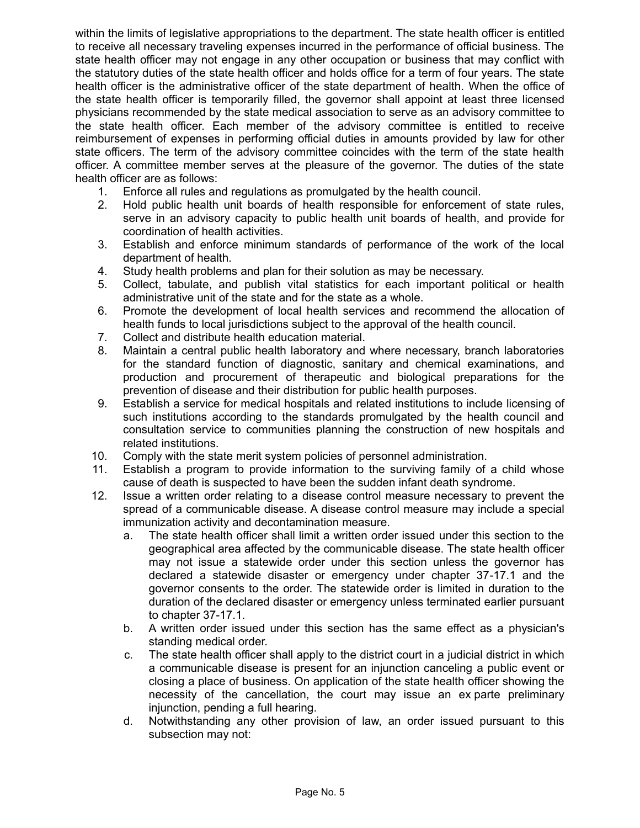within the limits of legislative appropriations to the department. The state health officer is entitled to receive all necessary traveling expenses incurred in the performance of official business. The state health officer may not engage in any other occupation or business that may conflict with the statutory duties of the state health officer and holds office for a term of four years. The state health officer is the administrative officer of the state department of health. When the office of the state health officer is temporarily filled, the governor shall appoint at least three licensed physicians recommended by the state medical association to serve as an advisory committee to the state health officer. Each member of the advisory committee is entitled to receive reimbursement of expenses in performing official duties in amounts provided by law for other state officers. The term of the advisory committee coincides with the term of the state health officer. A committee member serves at the pleasure of the governor. The duties of the state health officer are as follows:

- 1. Enforce all rules and regulations as promulgated by the health council.
- 2. Hold public health unit boards of health responsible for enforcement of state rules, serve in an advisory capacity to public health unit boards of health, and provide for coordination of health activities.
- 3. Establish and enforce minimum standards of performance of the work of the local department of health.
- 4. Study health problems and plan for their solution as may be necessary.
- 5. Collect, tabulate, and publish vital statistics for each important political or health administrative unit of the state and for the state as a whole.
- 6. Promote the development of local health services and recommend the allocation of health funds to local jurisdictions subject to the approval of the health council.
- 7. Collect and distribute health education material.
- 8. Maintain a central public health laboratory and where necessary, branch laboratories for the standard function of diagnostic, sanitary and chemical examinations, and production and procurement of therapeutic and biological preparations for the prevention of disease and their distribution for public health purposes.
- 9. Establish a service for medical hospitals and related institutions to include licensing of such institutions according to the standards promulgated by the health council and consultation service to communities planning the construction of new hospitals and related institutions.
- 10. Comply with the state merit system policies of personnel administration.
- 11. Establish a program to provide information to the surviving family of a child whose cause of death is suspected to have been the sudden infant death syndrome.
- 12. Issue a written order relating to a disease control measure necessary to prevent the spread of a communicable disease. A disease control measure may include a special immunization activity and decontamination measure.
	- a. The state health officer shall limit a written order issued under this section to the geographical area affected by the communicable disease. The state health officer may not issue a statewide order under this section unless the governor has declared a statewide disaster or emergency under chapter 37-17.1 and the governor consents to the order. The statewide order is limited in duration to the duration of the declared disaster or emergency unless terminated earlier pursuant to chapter 37-17.1.
	- b. A written order issued under this section has the same effect as a physician's standing medical order.
	- c. The state health officer shall apply to the district court in a judicial district in which a communicable disease is present for an injunction canceling a public event or closing a place of business. On application of the state health officer showing the necessity of the cancellation, the court may issue an ex parte preliminary injunction, pending a full hearing.
	- d. Notwithstanding any other provision of law, an order issued pursuant to this subsection may not: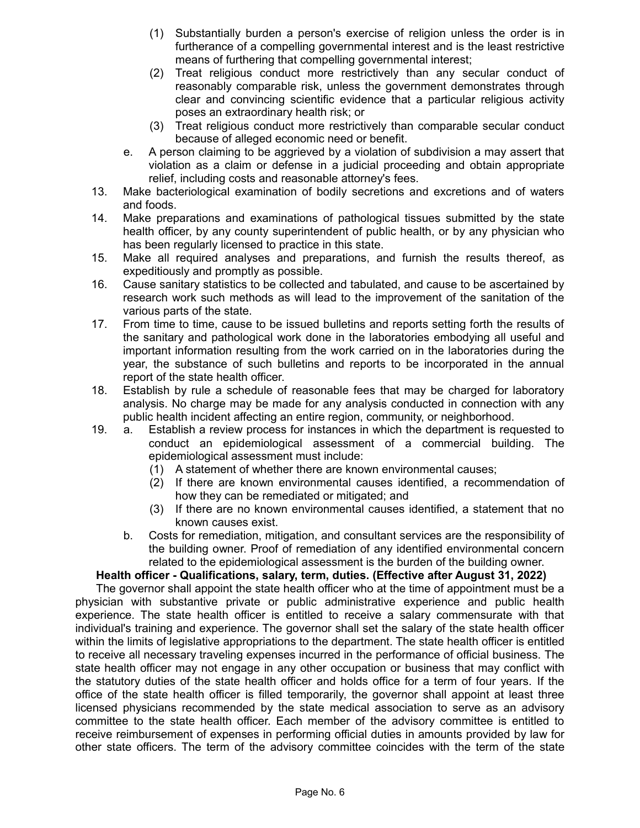- (1) Substantially burden a person's exercise of religion unless the order is in furtherance of a compelling governmental interest and is the least restrictive means of furthering that compelling governmental interest;
- (2) Treat religious conduct more restrictively than any secular conduct of reasonably comparable risk, unless the government demonstrates through clear and convincing scientific evidence that a particular religious activity poses an extraordinary health risk; or
- (3) Treat religious conduct more restrictively than comparable secular conduct because of alleged economic need or benefit.
- e. A person claiming to be aggrieved by a violation of subdivision a may assert that violation as a claim or defense in a judicial proceeding and obtain appropriate relief, including costs and reasonable attorney's fees.
- 13. Make bacteriological examination of bodily secretions and excretions and of waters and foods.
- 14. Make preparations and examinations of pathological tissues submitted by the state health officer, by any county superintendent of public health, or by any physician who has been regularly licensed to practice in this state.
- 15. Make all required analyses and preparations, and furnish the results thereof, as expeditiously and promptly as possible.
- 16. Cause sanitary statistics to be collected and tabulated, and cause to be ascertained by research work such methods as will lead to the improvement of the sanitation of the various parts of the state.
- 17. From time to time, cause to be issued bulletins and reports setting forth the results of the sanitary and pathological work done in the laboratories embodying all useful and important information resulting from the work carried on in the laboratories during the year, the substance of such bulletins and reports to be incorporated in the annual report of the state health officer.
- 18. Establish by rule a schedule of reasonable fees that may be charged for laboratory analysis. No charge may be made for any analysis conducted in connection with any public health incident affecting an entire region, community, or neighborhood.
- 19. a. Establish a review process for instances in which the department is requested to conduct an epidemiological assessment of a commercial building. The epidemiological assessment must include:
	- (1) A statement of whether there are known environmental causes;
	- (2) If there are known environmental causes identified, a recommendation of how they can be remediated or mitigated; and
	- (3) If there are no known environmental causes identified, a statement that no known causes exist.
	- b. Costs for remediation, mitigation, and consultant services are the responsibility of the building owner. Proof of remediation of any identified environmental concern related to the epidemiological assessment is the burden of the building owner.

# **Health officer - Qualifications, salary, term, duties. (Effective after August 31, 2022)**

The governor shall appoint the state health officer who at the time of appointment must be a physician with substantive private or public administrative experience and public health experience. The state health officer is entitled to receive a salary commensurate with that individual's training and experience. The governor shall set the salary of the state health officer within the limits of legislative appropriations to the department. The state health officer is entitled to receive all necessary traveling expenses incurred in the performance of official business. The state health officer may not engage in any other occupation or business that may conflict with the statutory duties of the state health officer and holds office for a term of four years. If the office of the state health officer is filled temporarily, the governor shall appoint at least three licensed physicians recommended by the state medical association to serve as an advisory committee to the state health officer. Each member of the advisory committee is entitled to receive reimbursement of expenses in performing official duties in amounts provided by law for other state officers. The term of the advisory committee coincides with the term of the state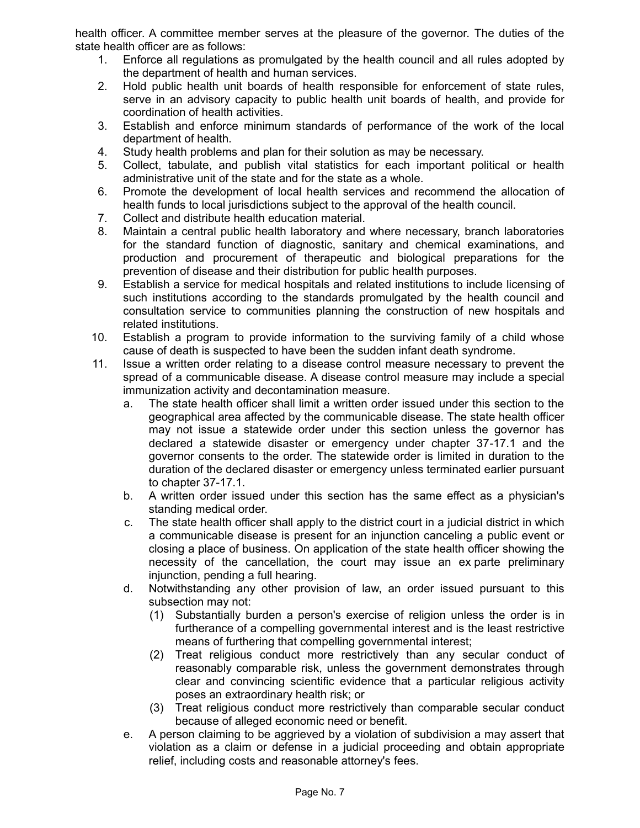health officer. A committee member serves at the pleasure of the governor. The duties of the state health officer are as follows:

- 1. Enforce all regulations as promulgated by the health council and all rules adopted by the department of health and human services.
- 2. Hold public health unit boards of health responsible for enforcement of state rules, serve in an advisory capacity to public health unit boards of health, and provide for coordination of health activities.
- 3. Establish and enforce minimum standards of performance of the work of the local department of health.
- 4. Study health problems and plan for their solution as may be necessary.
- 5. Collect, tabulate, and publish vital statistics for each important political or health administrative unit of the state and for the state as a whole.
- 6. Promote the development of local health services and recommend the allocation of health funds to local jurisdictions subject to the approval of the health council.
- 7. Collect and distribute health education material.
- 8. Maintain a central public health laboratory and where necessary, branch laboratories for the standard function of diagnostic, sanitary and chemical examinations, and production and procurement of therapeutic and biological preparations for the prevention of disease and their distribution for public health purposes.
- 9. Establish a service for medical hospitals and related institutions to include licensing of such institutions according to the standards promulgated by the health council and consultation service to communities planning the construction of new hospitals and related institutions.
- 10. Establish a program to provide information to the surviving family of a child whose cause of death is suspected to have been the sudden infant death syndrome.
- 11. Issue a written order relating to a disease control measure necessary to prevent the spread of a communicable disease. A disease control measure may include a special immunization activity and decontamination measure.
	- a. The state health officer shall limit a written order issued under this section to the geographical area affected by the communicable disease. The state health officer may not issue a statewide order under this section unless the governor has declared a statewide disaster or emergency under chapter 37-17.1 and the governor consents to the order. The statewide order is limited in duration to the duration of the declared disaster or emergency unless terminated earlier pursuant to chapter 37-17.1.
	- b. A written order issued under this section has the same effect as a physician's standing medical order.
	- c. The state health officer shall apply to the district court in a judicial district in which a communicable disease is present for an injunction canceling a public event or closing a place of business. On application of the state health officer showing the necessity of the cancellation, the court may issue an ex parte preliminary injunction, pending a full hearing.
	- d. Notwithstanding any other provision of law, an order issued pursuant to this subsection may not:
		- (1) Substantially burden a person's exercise of religion unless the order is in furtherance of a compelling governmental interest and is the least restrictive means of furthering that compelling governmental interest;
		- (2) Treat religious conduct more restrictively than any secular conduct of reasonably comparable risk, unless the government demonstrates through clear and convincing scientific evidence that a particular religious activity poses an extraordinary health risk; or
		- (3) Treat religious conduct more restrictively than comparable secular conduct because of alleged economic need or benefit.
	- e. A person claiming to be aggrieved by a violation of subdivision a may assert that violation as a claim or defense in a judicial proceeding and obtain appropriate relief, including costs and reasonable attorney's fees.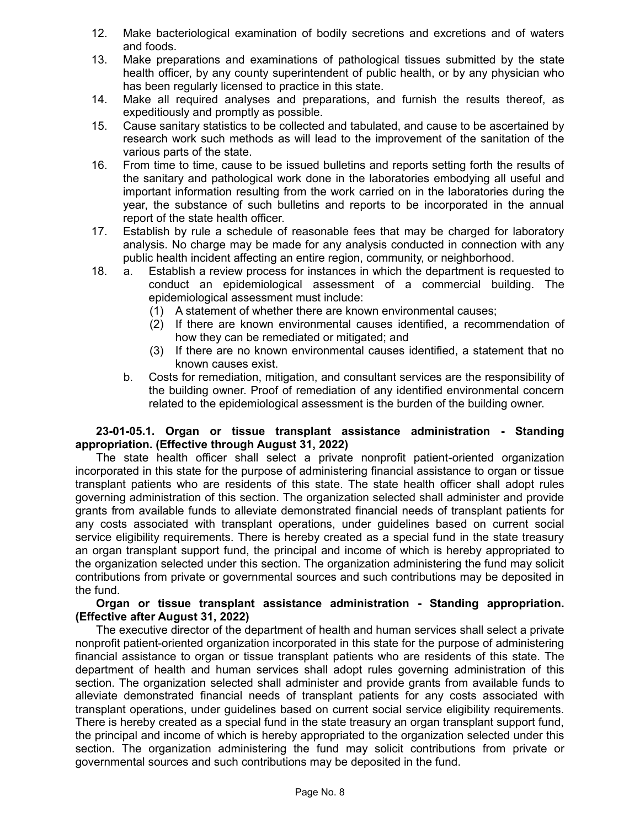- 12. Make bacteriological examination of bodily secretions and excretions and of waters and foods.
- 13. Make preparations and examinations of pathological tissues submitted by the state health officer, by any county superintendent of public health, or by any physician who has been regularly licensed to practice in this state.
- 14. Make all required analyses and preparations, and furnish the results thereof, as expeditiously and promptly as possible.
- 15. Cause sanitary statistics to be collected and tabulated, and cause to be ascertained by research work such methods as will lead to the improvement of the sanitation of the various parts of the state.
- 16. From time to time, cause to be issued bulletins and reports setting forth the results of the sanitary and pathological work done in the laboratories embodying all useful and important information resulting from the work carried on in the laboratories during the year, the substance of such bulletins and reports to be incorporated in the annual report of the state health officer.
- 17. Establish by rule a schedule of reasonable fees that may be charged for laboratory analysis. No charge may be made for any analysis conducted in connection with any public health incident affecting an entire region, community, or neighborhood.
- 18. a. Establish a review process for instances in which the department is requested to conduct an epidemiological assessment of a commercial building. The epidemiological assessment must include:
	- (1) A statement of whether there are known environmental causes;
	- (2) If there are known environmental causes identified, a recommendation of how they can be remediated or mitigated; and
	- (3) If there are no known environmental causes identified, a statement that no known causes exist.
	- b. Costs for remediation, mitigation, and consultant services are the responsibility of the building owner. Proof of remediation of any identified environmental concern related to the epidemiological assessment is the burden of the building owner.

### **23-01-05.1. Organ or tissue transplant assistance administration - Standing appropriation. (Effective through August 31, 2022)**

The state health officer shall select a private nonprofit patient-oriented organization incorporated in this state for the purpose of administering financial assistance to organ or tissue transplant patients who are residents of this state. The state health officer shall adopt rules governing administration of this section. The organization selected shall administer and provide grants from available funds to alleviate demonstrated financial needs of transplant patients for any costs associated with transplant operations, under guidelines based on current social service eligibility requirements. There is hereby created as a special fund in the state treasury an organ transplant support fund, the principal and income of which is hereby appropriated to the organization selected under this section. The organization administering the fund may solicit contributions from private or governmental sources and such contributions may be deposited in the fund.

### **Organ or tissue transplant assistance administration - Standing appropriation. (Effective after August 31, 2022)**

The executive director of the department of health and human services shall select a private nonprofit patient-oriented organization incorporated in this state for the purpose of administering financial assistance to organ or tissue transplant patients who are residents of this state. The department of health and human services shall adopt rules governing administration of this section. The organization selected shall administer and provide grants from available funds to alleviate demonstrated financial needs of transplant patients for any costs associated with transplant operations, under guidelines based on current social service eligibility requirements. There is hereby created as a special fund in the state treasury an organ transplant support fund, the principal and income of which is hereby appropriated to the organization selected under this section. The organization administering the fund may solicit contributions from private or governmental sources and such contributions may be deposited in the fund.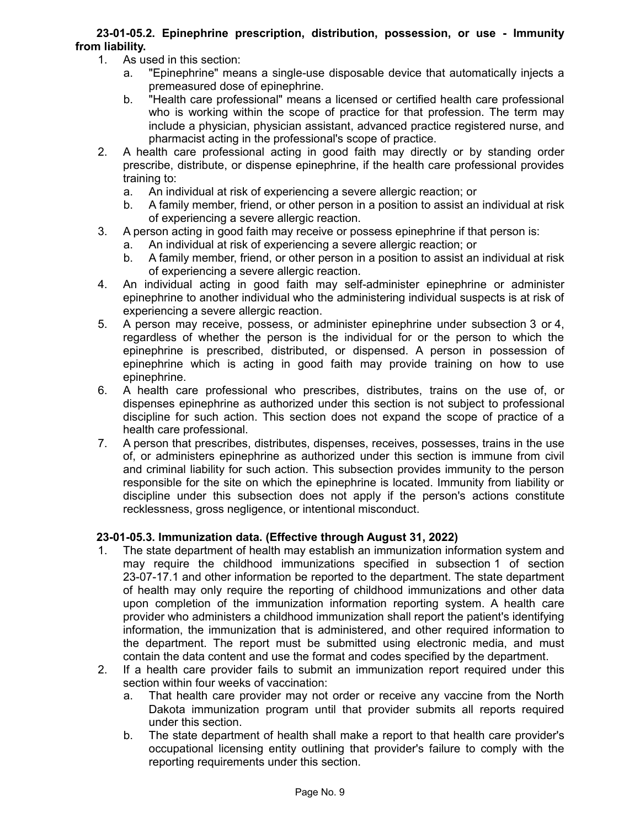# **23-01-05.2. Epinephrine prescription, distribution, possession, or use - Immunity from liability.**

- 1. As used in this section:
	- a. "Epinephrine" means a single-use disposable device that automatically injects a premeasured dose of epinephrine.
	- b. "Health care professional" means a licensed or certified health care professional who is working within the scope of practice for that profession. The term may include a physician, physician assistant, advanced practice registered nurse, and pharmacist acting in the professional's scope of practice.
- 2. A health care professional acting in good faith may directly or by standing order prescribe, distribute, or dispense epinephrine, if the health care professional provides training to:
	- a. An individual at risk of experiencing a severe allergic reaction; or
	- b. A family member, friend, or other person in a position to assist an individual at risk of experiencing a severe allergic reaction.
- 3. A person acting in good faith may receive or possess epinephrine if that person is:
	- a. An individual at risk of experiencing a severe allergic reaction; or
	- b. A family member, friend, or other person in a position to assist an individual at risk of experiencing a severe allergic reaction.
- 4. An individual acting in good faith may self-administer epinephrine or administer epinephrine to another individual who the administering individual suspects is at risk of experiencing a severe allergic reaction.
- 5. A person may receive, possess, or administer epinephrine under subsection 3 or 4, regardless of whether the person is the individual for or the person to which the epinephrine is prescribed, distributed, or dispensed. A person in possession of epinephrine which is acting in good faith may provide training on how to use epinephrine.
- 6. A health care professional who prescribes, distributes, trains on the use of, or dispenses epinephrine as authorized under this section is not subject to professional discipline for such action. This section does not expand the scope of practice of a health care professional.
- 7. A person that prescribes, distributes, dispenses, receives, possesses, trains in the use of, or administers epinephrine as authorized under this section is immune from civil and criminal liability for such action. This subsection provides immunity to the person responsible for the site on which the epinephrine is located. Immunity from liability or discipline under this subsection does not apply if the person's actions constitute recklessness, gross negligence, or intentional misconduct.

# **23-01-05.3. Immunization data. (Effective through August 31, 2022)**

- 1. The state department of health may establish an immunization information system and may require the childhood immunizations specified in subsection 1 of section 23-07-17.1 and other information be reported to the department. The state department of health may only require the reporting of childhood immunizations and other data upon completion of the immunization information reporting system. A health care provider who administers a childhood immunization shall report the patient's identifying information, the immunization that is administered, and other required information to the department. The report must be submitted using electronic media, and must contain the data content and use the format and codes specified by the department.
- 2. If a health care provider fails to submit an immunization report required under this section within four weeks of vaccination:
	- a. That health care provider may not order or receive any vaccine from the North Dakota immunization program until that provider submits all reports required under this section.
	- b. The state department of health shall make a report to that health care provider's occupational licensing entity outlining that provider's failure to comply with the reporting requirements under this section.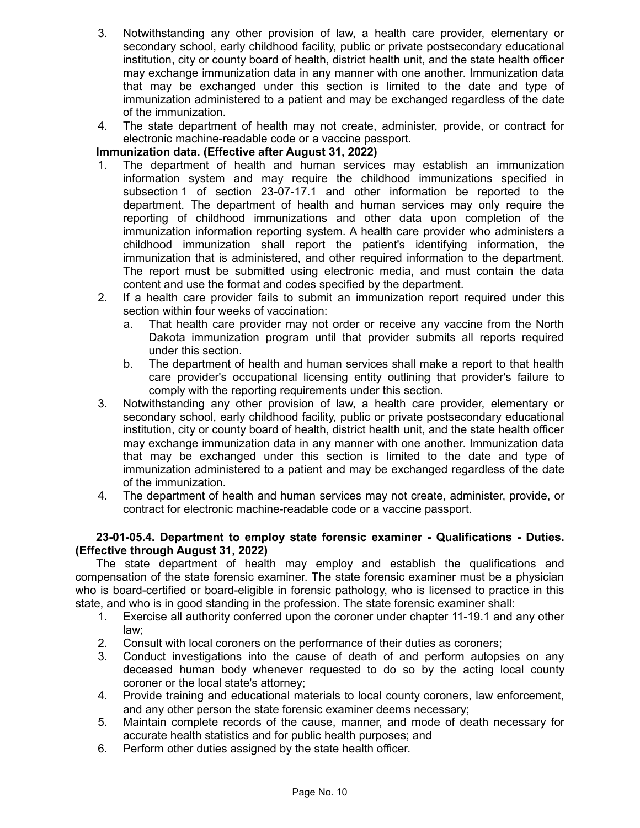- 3. Notwithstanding any other provision of law, a health care provider, elementary or secondary school, early childhood facility, public or private postsecondary educational institution, city or county board of health, district health unit, and the state health officer may exchange immunization data in any manner with one another. Immunization data that may be exchanged under this section is limited to the date and type of immunization administered to a patient and may be exchanged regardless of the date of the immunization.
- 4. The state department of health may not create, administer, provide, or contract for electronic machine-readable code or a vaccine passport.

# **Immunization data. (Effective after August 31, 2022)**

- 1. The department of health and human services may establish an immunization information system and may require the childhood immunizations specified in subsection 1 of section 23-07-17.1 and other information be reported to the department. The department of health and human services may only require the reporting of childhood immunizations and other data upon completion of the immunization information reporting system. A health care provider who administers a childhood immunization shall report the patient's identifying information, the immunization that is administered, and other required information to the department. The report must be submitted using electronic media, and must contain the data content and use the format and codes specified by the department.
- 2. If a health care provider fails to submit an immunization report required under this section within four weeks of vaccination:
	- a. That health care provider may not order or receive any vaccine from the North Dakota immunization program until that provider submits all reports required under this section.
	- b. The department of health and human services shall make a report to that health care provider's occupational licensing entity outlining that provider's failure to comply with the reporting requirements under this section.
- 3. Notwithstanding any other provision of law, a health care provider, elementary or secondary school, early childhood facility, public or private postsecondary educational institution, city or county board of health, district health unit, and the state health officer may exchange immunization data in any manner with one another. Immunization data that may be exchanged under this section is limited to the date and type of immunization administered to a patient and may be exchanged regardless of the date of the immunization.
- 4. The department of health and human services may not create, administer, provide, or contract for electronic machine-readable code or a vaccine passport.

# **23-01-05.4. Department to employ state forensic examiner - Qualifications - Duties. (Effective through August 31, 2022)**

The state department of health may employ and establish the qualifications and compensation of the state forensic examiner. The state forensic examiner must be a physician who is board-certified or board-eligible in forensic pathology, who is licensed to practice in this state, and who is in good standing in the profession. The state forensic examiner shall:

- 1. Exercise all authority conferred upon the coroner under chapter 11-19.1 and any other law;
- 2. Consult with local coroners on the performance of their duties as coroners;
- 3. Conduct investigations into the cause of death of and perform autopsies on any deceased human body whenever requested to do so by the acting local county coroner or the local state's attorney;
- 4. Provide training and educational materials to local county coroners, law enforcement, and any other person the state forensic examiner deems necessary;
- 5. Maintain complete records of the cause, manner, and mode of death necessary for accurate health statistics and for public health purposes; and
- 6. Perform other duties assigned by the state health officer.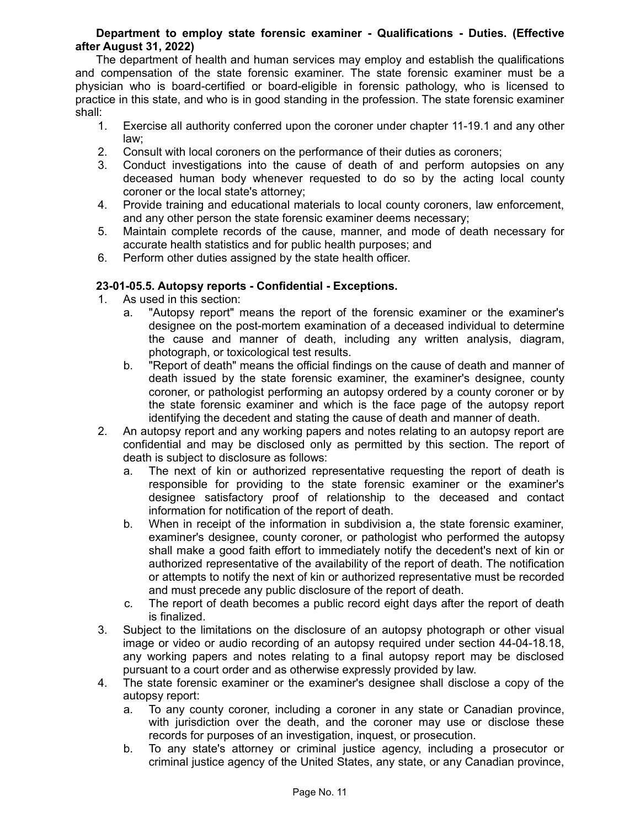## **Department to employ state forensic examiner - Qualifications - Duties. (Effective after August 31, 2022)**

The department of health and human services may employ and establish the qualifications and compensation of the state forensic examiner. The state forensic examiner must be a physician who is board-certified or board-eligible in forensic pathology, who is licensed to practice in this state, and who is in good standing in the profession. The state forensic examiner shall:

- 1. Exercise all authority conferred upon the coroner under chapter 11-19.1 and any other law;
- 2. Consult with local coroners on the performance of their duties as coroners;
- 3. Conduct investigations into the cause of death of and perform autopsies on any deceased human body whenever requested to do so by the acting local county coroner or the local state's attorney;
- 4. Provide training and educational materials to local county coroners, law enforcement, and any other person the state forensic examiner deems necessary;
- 5. Maintain complete records of the cause, manner, and mode of death necessary for accurate health statistics and for public health purposes; and
- 6. Perform other duties assigned by the state health officer.

## **23-01-05.5. Autopsy reports - Confidential - Exceptions.**

- 1. As used in this section:
	- a. "Autopsy report" means the report of the forensic examiner or the examiner's designee on the post-mortem examination of a deceased individual to determine the cause and manner of death, including any written analysis, diagram, photograph, or toxicological test results.
	- b. "Report of death" means the official findings on the cause of death and manner of death issued by the state forensic examiner, the examiner's designee, county coroner, or pathologist performing an autopsy ordered by a county coroner or by the state forensic examiner and which is the face page of the autopsy report identifying the decedent and stating the cause of death and manner of death.
- 2. An autopsy report and any working papers and notes relating to an autopsy report are confidential and may be disclosed only as permitted by this section. The report of death is subject to disclosure as follows:
	- a. The next of kin or authorized representative requesting the report of death is responsible for providing to the state forensic examiner or the examiner's designee satisfactory proof of relationship to the deceased and contact information for notification of the report of death.
	- b. When in receipt of the information in subdivision a, the state forensic examiner, examiner's designee, county coroner, or pathologist who performed the autopsy shall make a good faith effort to immediately notify the decedent's next of kin or authorized representative of the availability of the report of death. The notification or attempts to notify the next of kin or authorized representative must be recorded and must precede any public disclosure of the report of death.
	- c. The report of death becomes a public record eight days after the report of death is finalized.
- 3. Subject to the limitations on the disclosure of an autopsy photograph or other visual image or video or audio recording of an autopsy required under section 44-04-18.18, any working papers and notes relating to a final autopsy report may be disclosed pursuant to a court order and as otherwise expressly provided by law.
- 4. The state forensic examiner or the examiner's designee shall disclose a copy of the autopsy report:
	- a. To any county coroner, including a coroner in any state or Canadian province, with jurisdiction over the death, and the coroner may use or disclose these records for purposes of an investigation, inquest, or prosecution.
	- b. To any state's attorney or criminal justice agency, including a prosecutor or criminal justice agency of the United States, any state, or any Canadian province,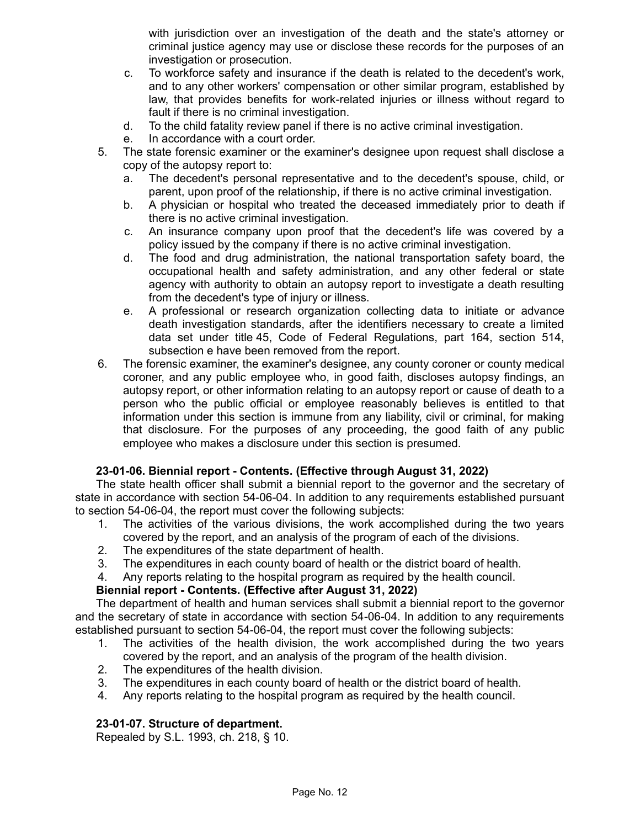with jurisdiction over an investigation of the death and the state's attorney or criminal justice agency may use or disclose these records for the purposes of an investigation or prosecution.

- c. To workforce safety and insurance if the death is related to the decedent's work, and to any other workers' compensation or other similar program, established by law, that provides benefits for work-related injuries or illness without regard to fault if there is no criminal investigation.
- d. To the child fatality review panel if there is no active criminal investigation.
- e. In accordance with a court order.
- 5. The state forensic examiner or the examiner's designee upon request shall disclose a copy of the autopsy report to:
	- a. The decedent's personal representative and to the decedent's spouse, child, or parent, upon proof of the relationship, if there is no active criminal investigation.
	- b. A physician or hospital who treated the deceased immediately prior to death if there is no active criminal investigation.
	- c. An insurance company upon proof that the decedent's life was covered by a policy issued by the company if there is no active criminal investigation.
	- d. The food and drug administration, the national transportation safety board, the occupational health and safety administration, and any other federal or state agency with authority to obtain an autopsy report to investigate a death resulting from the decedent's type of injury or illness.
	- e. A professional or research organization collecting data to initiate or advance death investigation standards, after the identifiers necessary to create a limited data set under title 45, Code of Federal Regulations, part 164, section 514, subsection e have been removed from the report.
- 6. The forensic examiner, the examiner's designee, any county coroner or county medical coroner, and any public employee who, in good faith, discloses autopsy findings, an autopsy report, or other information relating to an autopsy report or cause of death to a person who the public official or employee reasonably believes is entitled to that information under this section is immune from any liability, civil or criminal, for making that disclosure. For the purposes of any proceeding, the good faith of any public employee who makes a disclosure under this section is presumed.

# **23-01-06. Biennial report - Contents. (Effective through August 31, 2022)**

The state health officer shall submit a biennial report to the governor and the secretary of state in accordance with section 54-06-04. In addition to any requirements established pursuant to section 54-06-04, the report must cover the following subjects:

- 1. The activities of the various divisions, the work accomplished during the two years covered by the report, and an analysis of the program of each of the divisions.
- 2. The expenditures of the state department of health.
- 3. The expenditures in each county board of health or the district board of health.
- 4. Any reports relating to the hospital program as required by the health council.

# **Biennial report - Contents. (Effective after August 31, 2022)**

The department of health and human services shall submit a biennial report to the governor and the secretary of state in accordance with section 54-06-04. In addition to any requirements established pursuant to section 54-06-04, the report must cover the following subjects:

- 1. The activities of the health division, the work accomplished during the two years covered by the report, and an analysis of the program of the health division.
- 2. The expenditures of the health division.
- 3. The expenditures in each county board of health or the district board of health.
- 4. Any reports relating to the hospital program as required by the health council.

### **23-01-07. Structure of department.**

Repealed by S.L. 1993, ch. 218, § 10.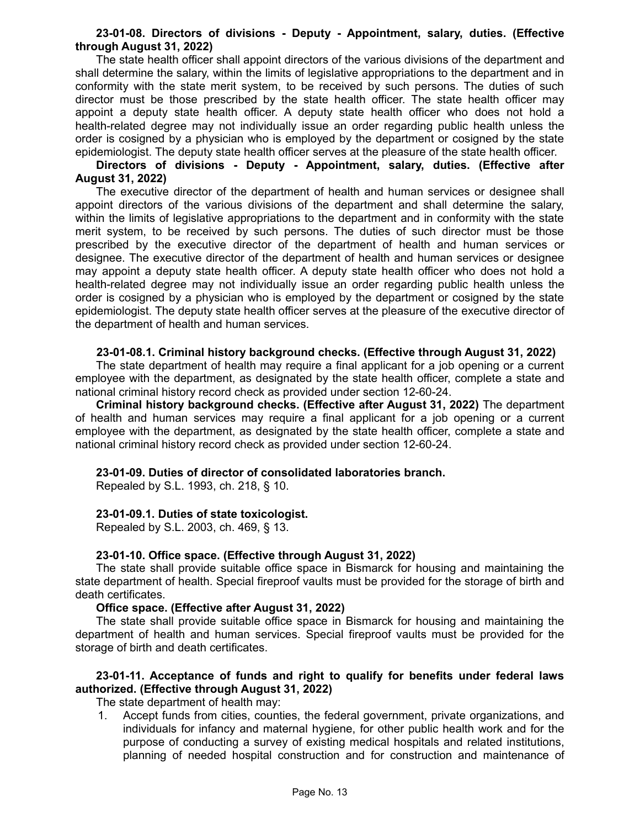### **23-01-08. Directors of divisions - Deputy - Appointment, salary, duties. (Effective through August 31, 2022)**

The state health officer shall appoint directors of the various divisions of the department and shall determine the salary, within the limits of legislative appropriations to the department and in conformity with the state merit system, to be received by such persons. The duties of such director must be those prescribed by the state health officer. The state health officer may appoint a deputy state health officer. A deputy state health officer who does not hold a health-related degree may not individually issue an order regarding public health unless the order is cosigned by a physician who is employed by the department or cosigned by the state epidemiologist. The deputy state health officer serves at the pleasure of the state health officer.

## **Directors of divisions - Deputy - Appointment, salary, duties. (Effective after August 31, 2022)**

The executive director of the department of health and human services or designee shall appoint directors of the various divisions of the department and shall determine the salary, within the limits of legislative appropriations to the department and in conformity with the state merit system, to be received by such persons. The duties of such director must be those prescribed by the executive director of the department of health and human services or designee. The executive director of the department of health and human services or designee may appoint a deputy state health officer. A deputy state health officer who does not hold a health-related degree may not individually issue an order regarding public health unless the order is cosigned by a physician who is employed by the department or cosigned by the state epidemiologist. The deputy state health officer serves at the pleasure of the executive director of the department of health and human services.

## **23-01-08.1. Criminal history background checks. (Effective through August 31, 2022)**

The state department of health may require a final applicant for a job opening or a current employee with the department, as designated by the state health officer, complete a state and national criminal history record check as provided under section 12-60-24.

**Criminal history background checks. (Effective after August 31, 2022)** The department of health and human services may require a final applicant for a job opening or a current employee with the department, as designated by the state health officer, complete a state and national criminal history record check as provided under section 12-60-24.

# **23-01-09. Duties of director of consolidated laboratories branch.**

Repealed by S.L. 1993, ch. 218, § 10.

### **23-01-09.1. Duties of state toxicologist.**

Repealed by S.L. 2003, ch. 469, § 13.

### **23-01-10. Office space. (Effective through August 31, 2022)**

The state shall provide suitable office space in Bismarck for housing and maintaining the state department of health. Special fireproof vaults must be provided for the storage of birth and death certificates.

### **Office space. (Effective after August 31, 2022)**

The state shall provide suitable office space in Bismarck for housing and maintaining the department of health and human services. Special fireproof vaults must be provided for the storage of birth and death certificates.

# **23-01-11. Acceptance of funds and right to qualify for benefits under federal laws authorized. (Effective through August 31, 2022)**

The state department of health may:

1. Accept funds from cities, counties, the federal government, private organizations, and individuals for infancy and maternal hygiene, for other public health work and for the purpose of conducting a survey of existing medical hospitals and related institutions, planning of needed hospital construction and for construction and maintenance of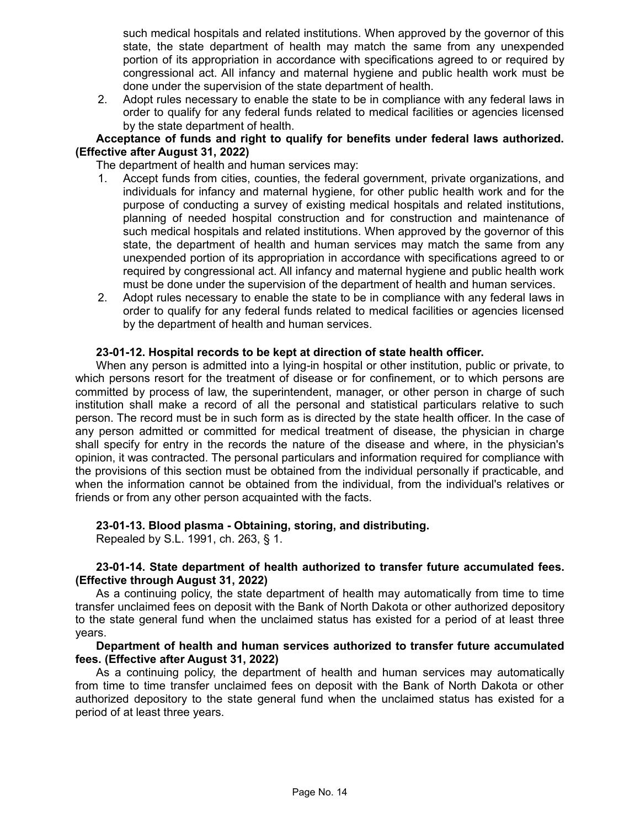such medical hospitals and related institutions. When approved by the governor of this state, the state department of health may match the same from any unexpended portion of its appropriation in accordance with specifications agreed to or required by congressional act. All infancy and maternal hygiene and public health work must be done under the supervision of the state department of health.

2. Adopt rules necessary to enable the state to be in compliance with any federal laws in order to qualify for any federal funds related to medical facilities or agencies licensed by the state department of health.

### **Acceptance of funds and right to qualify for benefits under federal laws authorized. (Effective after August 31, 2022)**

The department of health and human services may:

- 1. Accept funds from cities, counties, the federal government, private organizations, and individuals for infancy and maternal hygiene, for other public health work and for the purpose of conducting a survey of existing medical hospitals and related institutions, planning of needed hospital construction and for construction and maintenance of such medical hospitals and related institutions. When approved by the governor of this state, the department of health and human services may match the same from any unexpended portion of its appropriation in accordance with specifications agreed to or required by congressional act. All infancy and maternal hygiene and public health work must be done under the supervision of the department of health and human services.
- 2. Adopt rules necessary to enable the state to be in compliance with any federal laws in order to qualify for any federal funds related to medical facilities or agencies licensed by the department of health and human services.

## **23-01-12. Hospital records to be kept at direction of state health officer.**

When any person is admitted into a lying-in hospital or other institution, public or private, to which persons resort for the treatment of disease or for confinement, or to which persons are committed by process of law, the superintendent, manager, or other person in charge of such institution shall make a record of all the personal and statistical particulars relative to such person. The record must be in such form as is directed by the state health officer. In the case of any person admitted or committed for medical treatment of disease, the physician in charge shall specify for entry in the records the nature of the disease and where, in the physician's opinion, it was contracted. The personal particulars and information required for compliance with the provisions of this section must be obtained from the individual personally if practicable, and when the information cannot be obtained from the individual, from the individual's relatives or friends or from any other person acquainted with the facts.

### **23-01-13. Blood plasma - Obtaining, storing, and distributing.**

Repealed by S.L. 1991, ch. 263, § 1.

### **23-01-14. State department of health authorized to transfer future accumulated fees. (Effective through August 31, 2022)**

As a continuing policy, the state department of health may automatically from time to time transfer unclaimed fees on deposit with the Bank of North Dakota or other authorized depository to the state general fund when the unclaimed status has existed for a period of at least three years.

## **Department of health and human services authorized to transfer future accumulated fees. (Effective after August 31, 2022)**

As a continuing policy, the department of health and human services may automatically from time to time transfer unclaimed fees on deposit with the Bank of North Dakota or other authorized depository to the state general fund when the unclaimed status has existed for a period of at least three years.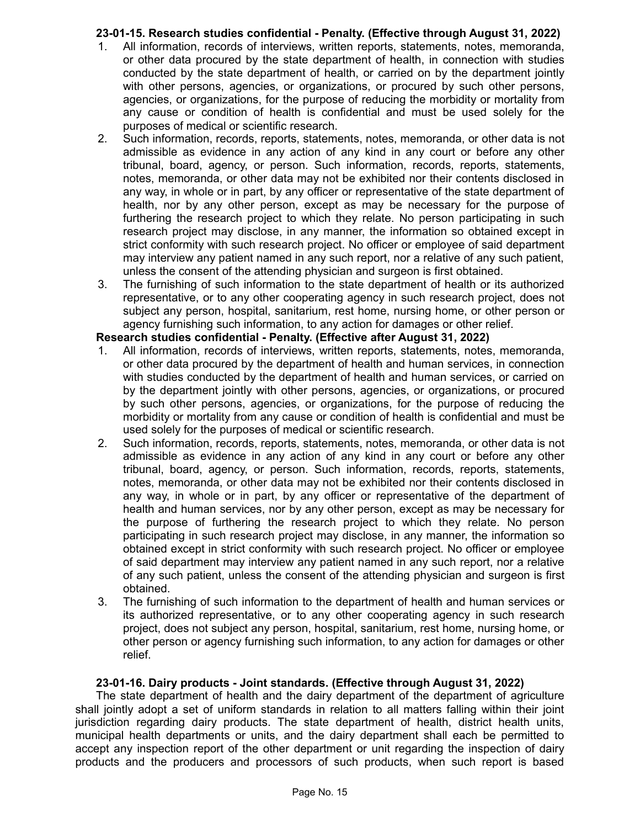# **23-01-15. Research studies confidential - Penalty. (Effective through August 31, 2022)**

- 1. All information, records of interviews, written reports, statements, notes, memoranda, or other data procured by the state department of health, in connection with studies conducted by the state department of health, or carried on by the department jointly with other persons, agencies, or organizations, or procured by such other persons, agencies, or organizations, for the purpose of reducing the morbidity or mortality from any cause or condition of health is confidential and must be used solely for the purposes of medical or scientific research.
- 2. Such information, records, reports, statements, notes, memoranda, or other data is not admissible as evidence in any action of any kind in any court or before any other tribunal, board, agency, or person. Such information, records, reports, statements, notes, memoranda, or other data may not be exhibited nor their contents disclosed in any way, in whole or in part, by any officer or representative of the state department of health, nor by any other person, except as may be necessary for the purpose of furthering the research project to which they relate. No person participating in such research project may disclose, in any manner, the information so obtained except in strict conformity with such research project. No officer or employee of said department may interview any patient named in any such report, nor a relative of any such patient, unless the consent of the attending physician and surgeon is first obtained.
- 3. The furnishing of such information to the state department of health or its authorized representative, or to any other cooperating agency in such research project, does not subject any person, hospital, sanitarium, rest home, nursing home, or other person or agency furnishing such information, to any action for damages or other relief.

# **Research studies confidential - Penalty. (Effective after August 31, 2022)**

- 1. All information, records of interviews, written reports, statements, notes, memoranda, or other data procured by the department of health and human services, in connection with studies conducted by the department of health and human services, or carried on by the department jointly with other persons, agencies, or organizations, or procured by such other persons, agencies, or organizations, for the purpose of reducing the morbidity or mortality from any cause or condition of health is confidential and must be used solely for the purposes of medical or scientific research.
- 2. Such information, records, reports, statements, notes, memoranda, or other data is not admissible as evidence in any action of any kind in any court or before any other tribunal, board, agency, or person. Such information, records, reports, statements, notes, memoranda, or other data may not be exhibited nor their contents disclosed in any way, in whole or in part, by any officer or representative of the department of health and human services, nor by any other person, except as may be necessary for the purpose of furthering the research project to which they relate. No person participating in such research project may disclose, in any manner, the information so obtained except in strict conformity with such research project. No officer or employee of said department may interview any patient named in any such report, nor a relative of any such patient, unless the consent of the attending physician and surgeon is first obtained.
- 3. The furnishing of such information to the department of health and human services or its authorized representative, or to any other cooperating agency in such research project, does not subject any person, hospital, sanitarium, rest home, nursing home, or other person or agency furnishing such information, to any action for damages or other relief.

# **23-01-16. Dairy products - Joint standards. (Effective through August 31, 2022)**

The state department of health and the dairy department of the department of agriculture shall jointly adopt a set of uniform standards in relation to all matters falling within their joint jurisdiction regarding dairy products. The state department of health, district health units, municipal health departments or units, and the dairy department shall each be permitted to accept any inspection report of the other department or unit regarding the inspection of dairy products and the producers and processors of such products, when such report is based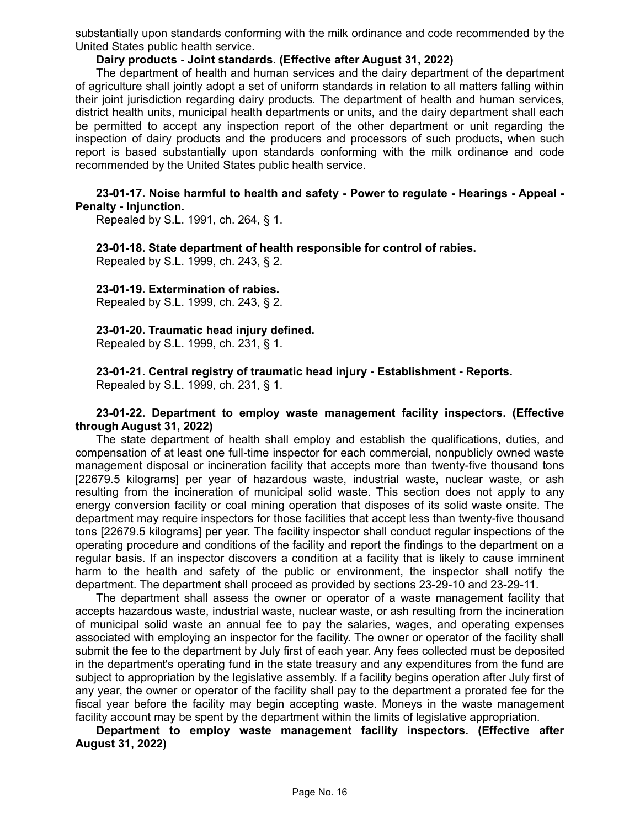substantially upon standards conforming with the milk ordinance and code recommended by the United States public health service.

### **Dairy products - Joint standards. (Effective after August 31, 2022)**

The department of health and human services and the dairy department of the department of agriculture shall jointly adopt a set of uniform standards in relation to all matters falling within their joint jurisdiction regarding dairy products. The department of health and human services, district health units, municipal health departments or units, and the dairy department shall each be permitted to accept any inspection report of the other department or unit regarding the inspection of dairy products and the producers and processors of such products, when such report is based substantially upon standards conforming with the milk ordinance and code recommended by the United States public health service.

### **23-01-17. Noise harmful to health and safety - Power to regulate - Hearings - Appeal - Penalty - Injunction.**

Repealed by S.L. 1991, ch. 264, § 1.

**23-01-18. State department of health responsible for control of rabies.** Repealed by S.L. 1999, ch. 243, § 2.

## **23-01-19. Extermination of rabies.**

Repealed by S.L. 1999, ch. 243, § 2.

### **23-01-20. Traumatic head injury defined.**

Repealed by S.L. 1999, ch. 231, § 1.

**23-01-21. Central registry of traumatic head injury - Establishment - Reports.**

Repealed by S.L. 1999, ch. 231, § 1.

### **23-01-22. Department to employ waste management facility inspectors. (Effective through August 31, 2022)**

The state department of health shall employ and establish the qualifications, duties, and compensation of at least one full-time inspector for each commercial, nonpublicly owned waste management disposal or incineration facility that accepts more than twenty-five thousand tons [22679.5 kilograms] per year of hazardous waste, industrial waste, nuclear waste, or ash resulting from the incineration of municipal solid waste. This section does not apply to any energy conversion facility or coal mining operation that disposes of its solid waste onsite. The department may require inspectors for those facilities that accept less than twenty-five thousand tons [22679.5 kilograms] per year. The facility inspector shall conduct regular inspections of the operating procedure and conditions of the facility and report the findings to the department on a regular basis. If an inspector discovers a condition at a facility that is likely to cause imminent harm to the health and safety of the public or environment, the inspector shall notify the department. The department shall proceed as provided by sections 23-29-10 and 23-29-11.

The department shall assess the owner or operator of a waste management facility that accepts hazardous waste, industrial waste, nuclear waste, or ash resulting from the incineration of municipal solid waste an annual fee to pay the salaries, wages, and operating expenses associated with employing an inspector for the facility. The owner or operator of the facility shall submit the fee to the department by July first of each year. Any fees collected must be deposited in the department's operating fund in the state treasury and any expenditures from the fund are subject to appropriation by the legislative assembly. If a facility begins operation after July first of any year, the owner or operator of the facility shall pay to the department a prorated fee for the fiscal year before the facility may begin accepting waste. Moneys in the waste management facility account may be spent by the department within the limits of legislative appropriation.

**Department to employ waste management facility inspectors. (Effective after August 31, 2022)**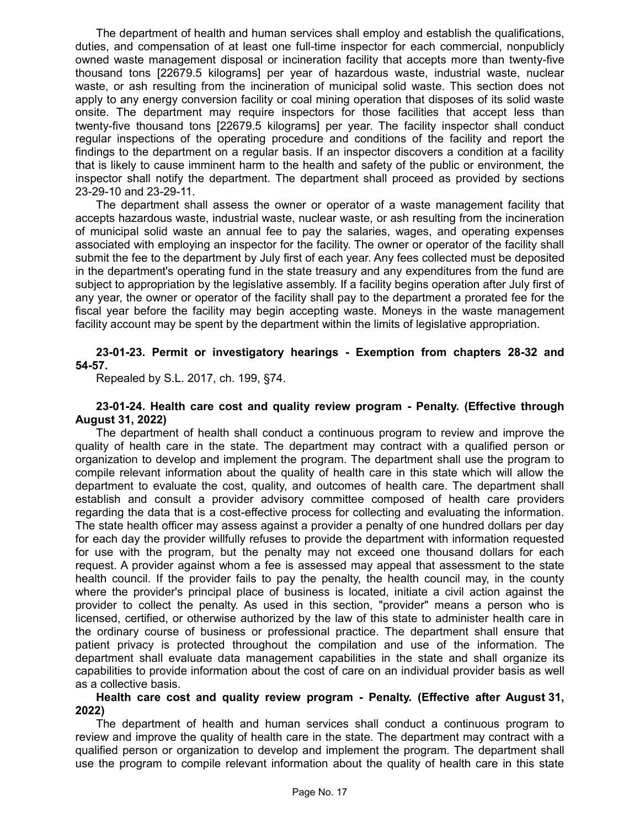The department of health and human services shall employ and establish the qualifications, duties, and compensation of at least one full-time inspector for each commercial, nonpublicly owned waste management disposal or incineration facility that accepts more than twenty-five thousand tons [22679.5 kilograms] per year of hazardous waste, industrial waste, nuclear waste, or ash resulting from the incineration of municipal solid waste. This section does not apply to any energy conversion facility or coal mining operation that disposes of its solid waste onsite. The department may require inspectors for those facilities that accept less than twenty-five thousand tons [22679.5 kilograms] per year. The facility inspector shall conduct regular inspections of the operating procedure and conditions of the facility and report the findings to the department on a regular basis. If an inspector discovers a condition at a facility that is likely to cause imminent harm to the health and safety of the public or environment, the inspector shall notify the department. The department shall proceed as provided by sections 23-29-10 and 23-29-11.

The department shall assess the owner or operator of a waste management facility that accepts hazardous waste, industrial waste, nuclear waste, or ash resulting from the incineration of municipal solid waste an annual fee to pay the salaries, wages, and operating expenses associated with employing an inspector for the facility. The owner or operator of the facility shall submit the fee to the department by July first of each year. Any fees collected must be deposited in the department's operating fund in the state treasury and any expenditures from the fund are subject to appropriation by the legislative assembly. If a facility begins operation after July first of any year, the owner or operator of the facility shall pay to the department a prorated fee for the fiscal year before the facility may begin accepting waste. Moneys in the waste management facility account may be spent by the department within the limits of legislative appropriation.

## **23-01-23. Permit or investigatory hearings - Exemption from chapters 28-32 and 54-57.**

Repealed by S.L. 2017, ch. 199, §74.

### **23-01-24. Health care cost and quality review program - Penalty. (Effective through August 31, 2022)**

The department of health shall conduct a continuous program to review and improve the quality of health care in the state. The department may contract with a qualified person or organization to develop and implement the program. The department shall use the program to compile relevant information about the quality of health care in this state which will allow the department to evaluate the cost, quality, and outcomes of health care. The department shall establish and consult a provider advisory committee composed of health care providers regarding the data that is a cost-effective process for collecting and evaluating the information. The state health officer may assess against a provider a penalty of one hundred dollars per day for each day the provider willfully refuses to provide the department with information requested for use with the program, but the penalty may not exceed one thousand dollars for each request. A provider against whom a fee is assessed may appeal that assessment to the state health council. If the provider fails to pay the penalty, the health council may, in the county where the provider's principal place of business is located, initiate a civil action against the provider to collect the penalty. As used in this section, "provider" means a person who is licensed, certified, or otherwise authorized by the law of this state to administer health care in the ordinary course of business or professional practice. The department shall ensure that patient privacy is protected throughout the compilation and use of the information. The department shall evaluate data management capabilities in the state and shall organize its capabilities to provide information about the cost of care on an individual provider basis as well as a collective basis.

### **Health care cost and quality review program - Penalty. (Effective after August 31, 2022)**

The department of health and human services shall conduct a continuous program to review and improve the quality of health care in the state. The department may contract with a qualified person or organization to develop and implement the program. The department shall use the program to compile relevant information about the quality of health care in this state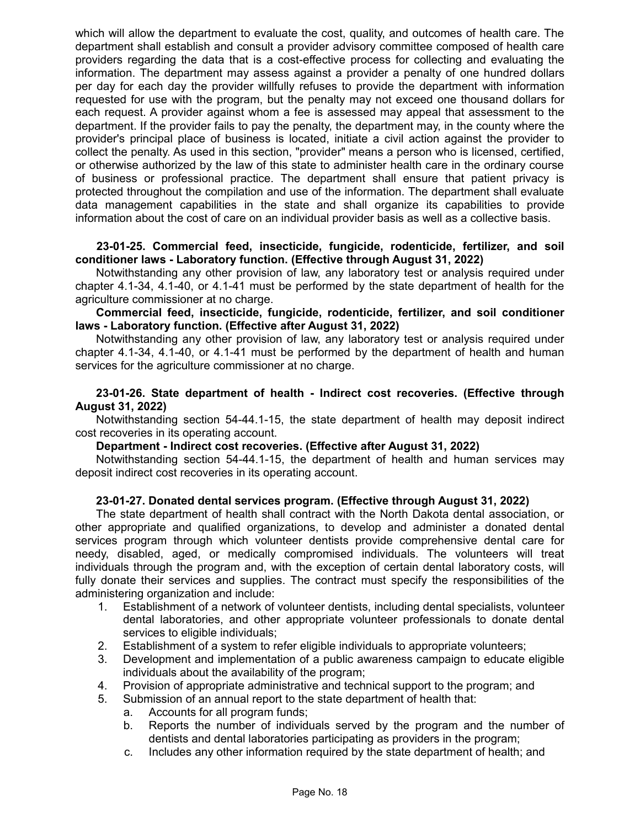which will allow the department to evaluate the cost, quality, and outcomes of health care. The department shall establish and consult a provider advisory committee composed of health care providers regarding the data that is a cost-effective process for collecting and evaluating the information. The department may assess against a provider a penalty of one hundred dollars per day for each day the provider willfully refuses to provide the department with information requested for use with the program, but the penalty may not exceed one thousand dollars for each request. A provider against whom a fee is assessed may appeal that assessment to the department. If the provider fails to pay the penalty, the department may, in the county where the provider's principal place of business is located, initiate a civil action against the provider to collect the penalty. As used in this section, "provider" means a person who is licensed, certified, or otherwise authorized by the law of this state to administer health care in the ordinary course of business or professional practice. The department shall ensure that patient privacy is protected throughout the compilation and use of the information. The department shall evaluate data management capabilities in the state and shall organize its capabilities to provide information about the cost of care on an individual provider basis as well as a collective basis.

### **23-01-25. Commercial feed, insecticide, fungicide, rodenticide, fertilizer, and soil conditioner laws - Laboratory function. (Effective through August 31, 2022)**

Notwithstanding any other provision of law, any laboratory test or analysis required under chapter 4.1-34, 4.1-40, or 4.1-41 must be performed by the state department of health for the agriculture commissioner at no charge.

**Commercial feed, insecticide, fungicide, rodenticide, fertilizer, and soil conditioner laws - Laboratory function. (Effective after August 31, 2022)**

Notwithstanding any other provision of law, any laboratory test or analysis required under chapter 4.1-34, 4.1-40, or 4.1-41 must be performed by the department of health and human services for the agriculture commissioner at no charge.

### **23-01-26. State department of health - Indirect cost recoveries. (Effective through August 31, 2022)**

Notwithstanding section 54-44.1-15, the state department of health may deposit indirect cost recoveries in its operating account.

### **Department - Indirect cost recoveries. (Effective after August 31, 2022)**

Notwithstanding section 54-44.1-15, the department of health and human services may deposit indirect cost recoveries in its operating account.

# **23-01-27. Donated dental services program. (Effective through August 31, 2022)**

The state department of health shall contract with the North Dakota dental association, or other appropriate and qualified organizations, to develop and administer a donated dental services program through which volunteer dentists provide comprehensive dental care for needy, disabled, aged, or medically compromised individuals. The volunteers will treat individuals through the program and, with the exception of certain dental laboratory costs, will fully donate their services and supplies. The contract must specify the responsibilities of the administering organization and include:

- 1. Establishment of a network of volunteer dentists, including dental specialists, volunteer dental laboratories, and other appropriate volunteer professionals to donate dental services to eligible individuals;
- 2. Establishment of a system to refer eligible individuals to appropriate volunteers;
- 3. Development and implementation of a public awareness campaign to educate eligible individuals about the availability of the program;
- 4. Provision of appropriate administrative and technical support to the program; and
- 5. Submission of an annual report to the state department of health that:
	- a. Accounts for all program funds;
	- b. Reports the number of individuals served by the program and the number of dentists and dental laboratories participating as providers in the program;
	- c. Includes any other information required by the state department of health; and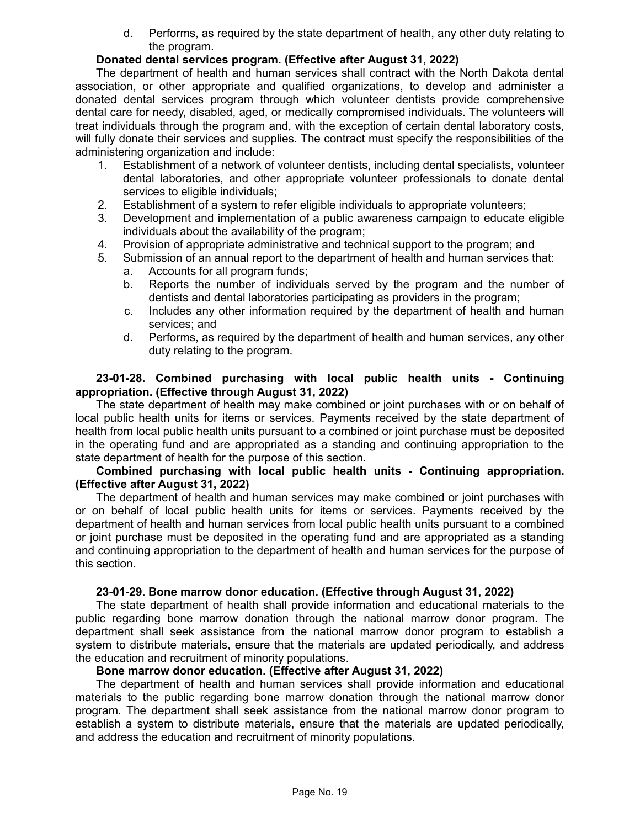d. Performs, as required by the state department of health, any other duty relating to the program.

## **Donated dental services program. (Effective after August 31, 2022)**

The department of health and human services shall contract with the North Dakota dental association, or other appropriate and qualified organizations, to develop and administer a donated dental services program through which volunteer dentists provide comprehensive dental care for needy, disabled, aged, or medically compromised individuals. The volunteers will treat individuals through the program and, with the exception of certain dental laboratory costs, will fully donate their services and supplies. The contract must specify the responsibilities of the administering organization and include:

- 1. Establishment of a network of volunteer dentists, including dental specialists, volunteer dental laboratories, and other appropriate volunteer professionals to donate dental services to eligible individuals;
- 2. Establishment of a system to refer eligible individuals to appropriate volunteers;
- 3. Development and implementation of a public awareness campaign to educate eligible individuals about the availability of the program;
- 4. Provision of appropriate administrative and technical support to the program; and
- 5. Submission of an annual report to the department of health and human services that: a. Accounts for all program funds;
	- b. Reports the number of individuals served by the program and the number of dentists and dental laboratories participating as providers in the program;
	- c. Includes any other information required by the department of health and human services; and
	- d. Performs, as required by the department of health and human services, any other duty relating to the program.

### **23-01-28. Combined purchasing with local public health units - Continuing appropriation. (Effective through August 31, 2022)**

The state department of health may make combined or joint purchases with or on behalf of local public health units for items or services. Payments received by the state department of health from local public health units pursuant to a combined or joint purchase must be deposited in the operating fund and are appropriated as a standing and continuing appropriation to the state department of health for the purpose of this section.

# **Combined purchasing with local public health units - Continuing appropriation. (Effective after August 31, 2022)**

The department of health and human services may make combined or joint purchases with or on behalf of local public health units for items or services. Payments received by the department of health and human services from local public health units pursuant to a combined or joint purchase must be deposited in the operating fund and are appropriated as a standing and continuing appropriation to the department of health and human services for the purpose of this section.

### **23-01-29. Bone marrow donor education. (Effective through August 31, 2022)**

The state department of health shall provide information and educational materials to the public regarding bone marrow donation through the national marrow donor program. The department shall seek assistance from the national marrow donor program to establish a system to distribute materials, ensure that the materials are updated periodically, and address the education and recruitment of minority populations.

### **Bone marrow donor education. (Effective after August 31, 2022)**

The department of health and human services shall provide information and educational materials to the public regarding bone marrow donation through the national marrow donor program. The department shall seek assistance from the national marrow donor program to establish a system to distribute materials, ensure that the materials are updated periodically, and address the education and recruitment of minority populations.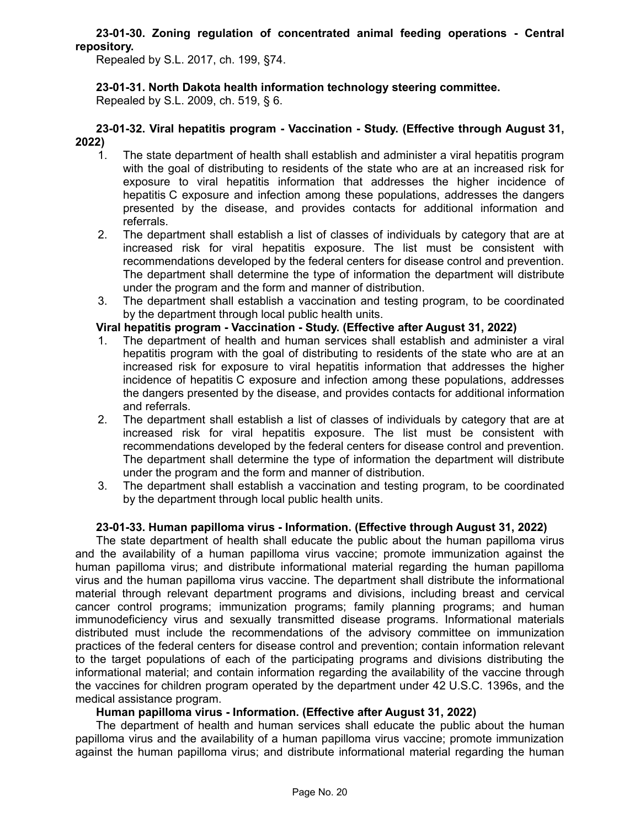### **23-01-30. Zoning regulation of concentrated animal feeding operations - Central repository.**

Repealed by S.L. 2017, ch. 199, §74.

## **23-01-31. North Dakota health information technology steering committee.**

Repealed by S.L. 2009, ch. 519, § 6.

#### **23-01-32. Viral hepatitis program - Vaccination - Study. (Effective through August 31, 2022)**

- 1. The state department of health shall establish and administer a viral hepatitis program with the goal of distributing to residents of the state who are at an increased risk for exposure to viral hepatitis information that addresses the higher incidence of hepatitis C exposure and infection among these populations, addresses the dangers presented by the disease, and provides contacts for additional information and referrals.
- 2. The department shall establish a list of classes of individuals by category that are at increased risk for viral hepatitis exposure. The list must be consistent with recommendations developed by the federal centers for disease control and prevention. The department shall determine the type of information the department will distribute under the program and the form and manner of distribution.
- 3. The department shall establish a vaccination and testing program, to be coordinated by the department through local public health units.

## **Viral hepatitis program - Vaccination - Study. (Effective after August 31, 2022)**

- 1. The department of health and human services shall establish and administer a viral hepatitis program with the goal of distributing to residents of the state who are at an increased risk for exposure to viral hepatitis information that addresses the higher incidence of hepatitis C exposure and infection among these populations, addresses the dangers presented by the disease, and provides contacts for additional information and referrals.
- 2. The department shall establish a list of classes of individuals by category that are at increased risk for viral hepatitis exposure. The list must be consistent with recommendations developed by the federal centers for disease control and prevention. The department shall determine the type of information the department will distribute under the program and the form and manner of distribution.
- 3. The department shall establish a vaccination and testing program, to be coordinated by the department through local public health units.

### **23-01-33. Human papilloma virus - Information. (Effective through August 31, 2022)**

The state department of health shall educate the public about the human papilloma virus and the availability of a human papilloma virus vaccine; promote immunization against the human papilloma virus; and distribute informational material regarding the human papilloma virus and the human papilloma virus vaccine. The department shall distribute the informational material through relevant department programs and divisions, including breast and cervical cancer control programs; immunization programs; family planning programs; and human immunodeficiency virus and sexually transmitted disease programs. Informational materials distributed must include the recommendations of the advisory committee on immunization practices of the federal centers for disease control and prevention; contain information relevant to the target populations of each of the participating programs and divisions distributing the informational material; and contain information regarding the availability of the vaccine through the vaccines for children program operated by the department under 42 U.S.C. 1396s, and the medical assistance program.

# **Human papilloma virus - Information. (Effective after August 31, 2022)**

The department of health and human services shall educate the public about the human papilloma virus and the availability of a human papilloma virus vaccine; promote immunization against the human papilloma virus; and distribute informational material regarding the human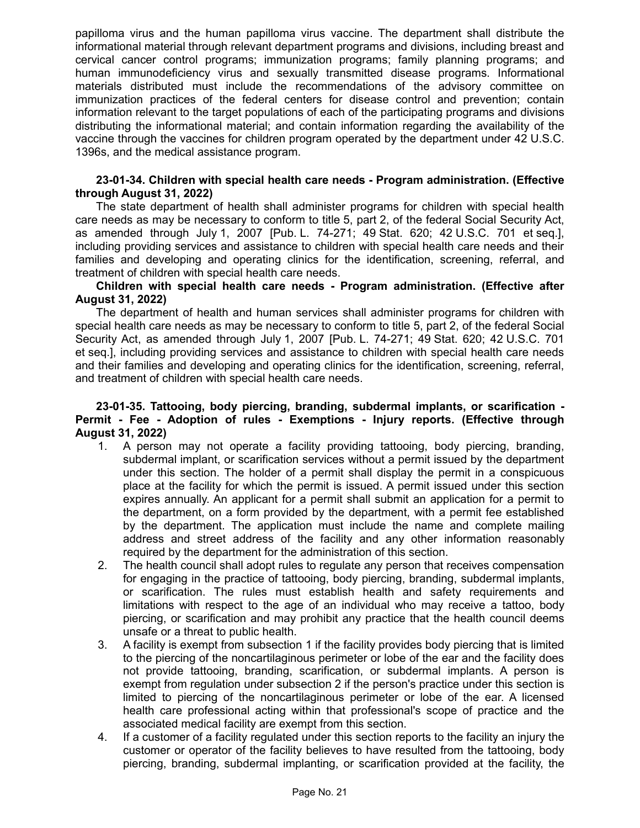papilloma virus and the human papilloma virus vaccine. The department shall distribute the informational material through relevant department programs and divisions, including breast and cervical cancer control programs; immunization programs; family planning programs; and human immunodeficiency virus and sexually transmitted disease programs. Informational materials distributed must include the recommendations of the advisory committee on immunization practices of the federal centers for disease control and prevention; contain information relevant to the target populations of each of the participating programs and divisions distributing the informational material; and contain information regarding the availability of the vaccine through the vaccines for children program operated by the department under 42 U.S.C. 1396s, and the medical assistance program.

### **23-01-34. Children with special health care needs - Program administration. (Effective through August 31, 2022)**

The state department of health shall administer programs for children with special health care needs as may be necessary to conform to title 5, part 2, of the federal Social Security Act, as amended through July 1, 2007 [Pub. L. 74-271; 49 Stat. 620; 42 U.S.C. 701 et seq.], including providing services and assistance to children with special health care needs and their families and developing and operating clinics for the identification, screening, referral, and treatment of children with special health care needs.

### **Children with special health care needs - Program administration. (Effective after August 31, 2022)**

The department of health and human services shall administer programs for children with special health care needs as may be necessary to conform to title 5, part 2, of the federal Social Security Act, as amended through July 1, 2007 [Pub. L. 74-271; 49 Stat. 620; 42 U.S.C. 701 et seq.], including providing services and assistance to children with special health care needs and their families and developing and operating clinics for the identification, screening, referral, and treatment of children with special health care needs.

### **23-01-35. Tattooing, body piercing, branding, subdermal implants, or scarification - Permit - Fee - Adoption of rules - Exemptions - Injury reports. (Effective through August 31, 2022)**

- 1. A person may not operate a facility providing tattooing, body piercing, branding, subdermal implant, or scarification services without a permit issued by the department under this section. The holder of a permit shall display the permit in a conspicuous place at the facility for which the permit is issued. A permit issued under this section expires annually. An applicant for a permit shall submit an application for a permit to the department, on a form provided by the department, with a permit fee established by the department. The application must include the name and complete mailing address and street address of the facility and any other information reasonably required by the department for the administration of this section.
- 2. The health council shall adopt rules to regulate any person that receives compensation for engaging in the practice of tattooing, body piercing, branding, subdermal implants, or scarification. The rules must establish health and safety requirements and limitations with respect to the age of an individual who may receive a tattoo, body piercing, or scarification and may prohibit any practice that the health council deems unsafe or a threat to public health.
- 3. A facility is exempt from subsection 1 if the facility provides body piercing that is limited to the piercing of the noncartilaginous perimeter or lobe of the ear and the facility does not provide tattooing, branding, scarification, or subdermal implants. A person is exempt from regulation under subsection 2 if the person's practice under this section is limited to piercing of the noncartilaginous perimeter or lobe of the ear. A licensed health care professional acting within that professional's scope of practice and the associated medical facility are exempt from this section.
- 4. If a customer of a facility regulated under this section reports to the facility an injury the customer or operator of the facility believes to have resulted from the tattooing, body piercing, branding, subdermal implanting, or scarification provided at the facility, the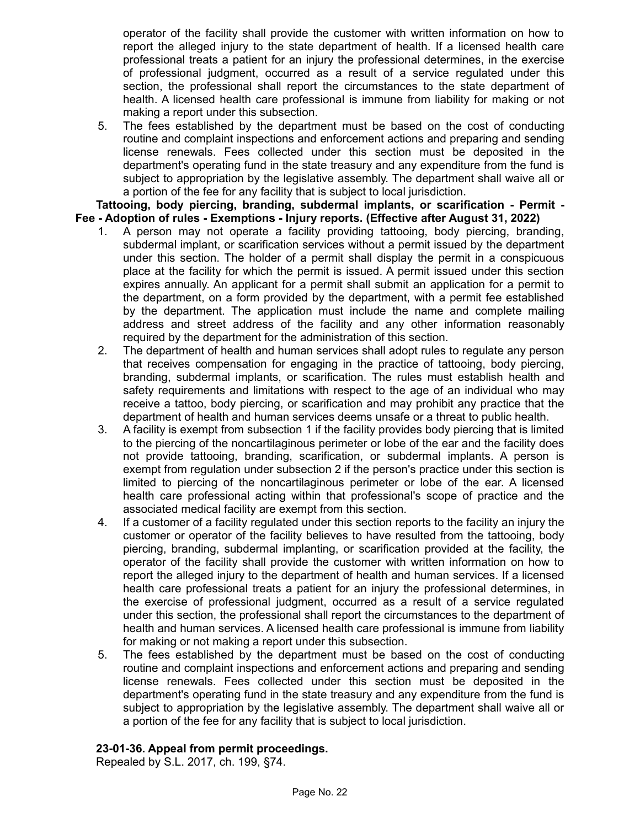operator of the facility shall provide the customer with written information on how to report the alleged injury to the state department of health. If a licensed health care professional treats a patient for an injury the professional determines, in the exercise of professional judgment, occurred as a result of a service regulated under this section, the professional shall report the circumstances to the state department of health. A licensed health care professional is immune from liability for making or not making a report under this subsection.

5. The fees established by the department must be based on the cost of conducting routine and complaint inspections and enforcement actions and preparing and sending license renewals. Fees collected under this section must be deposited in the department's operating fund in the state treasury and any expenditure from the fund is subject to appropriation by the legislative assembly. The department shall waive all or a portion of the fee for any facility that is subject to local jurisdiction.

**Tattooing, body piercing, branding, subdermal implants, or scarification - Permit - Fee - Adoption of rules - Exemptions - Injury reports. (Effective after August 31, 2022)**

- 1. A person may not operate a facility providing tattooing, body piercing, branding, subdermal implant, or scarification services without a permit issued by the department under this section. The holder of a permit shall display the permit in a conspicuous place at the facility for which the permit is issued. A permit issued under this section expires annually. An applicant for a permit shall submit an application for a permit to the department, on a form provided by the department, with a permit fee established by the department. The application must include the name and complete mailing address and street address of the facility and any other information reasonably required by the department for the administration of this section.
- 2. The department of health and human services shall adopt rules to regulate any person that receives compensation for engaging in the practice of tattooing, body piercing, branding, subdermal implants, or scarification. The rules must establish health and safety requirements and limitations with respect to the age of an individual who may receive a tattoo, body piercing, or scarification and may prohibit any practice that the department of health and human services deems unsafe or a threat to public health.
- 3. A facility is exempt from subsection 1 if the facility provides body piercing that is limited to the piercing of the noncartilaginous perimeter or lobe of the ear and the facility does not provide tattooing, branding, scarification, or subdermal implants. A person is exempt from regulation under subsection 2 if the person's practice under this section is limited to piercing of the noncartilaginous perimeter or lobe of the ear. A licensed health care professional acting within that professional's scope of practice and the associated medical facility are exempt from this section.
- 4. If a customer of a facility regulated under this section reports to the facility an injury the customer or operator of the facility believes to have resulted from the tattooing, body piercing, branding, subdermal implanting, or scarification provided at the facility, the operator of the facility shall provide the customer with written information on how to report the alleged injury to the department of health and human services. If a licensed health care professional treats a patient for an injury the professional determines, in the exercise of professional judgment, occurred as a result of a service regulated under this section, the professional shall report the circumstances to the department of health and human services. A licensed health care professional is immune from liability for making or not making a report under this subsection.
- 5. The fees established by the department must be based on the cost of conducting routine and complaint inspections and enforcement actions and preparing and sending license renewals. Fees collected under this section must be deposited in the department's operating fund in the state treasury and any expenditure from the fund is subject to appropriation by the legislative assembly. The department shall waive all or a portion of the fee for any facility that is subject to local jurisdiction.

# **23-01-36. Appeal from permit proceedings.**

Repealed by S.L. 2017, ch. 199, §74.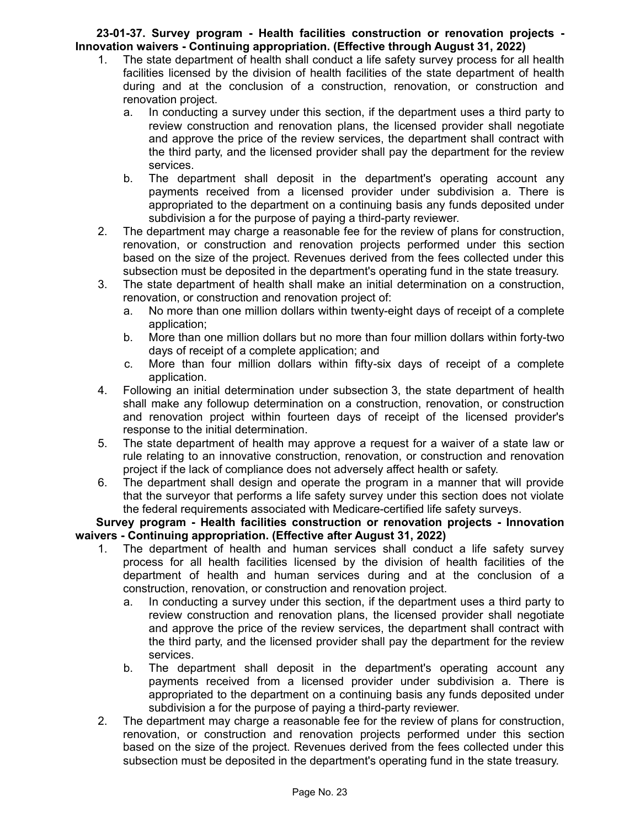# **23-01-37. Survey program - Health facilities construction or renovation projects - Innovation waivers - Continuing appropriation. (Effective through August 31, 2022)**

- 1. The state department of health shall conduct a life safety survey process for all health facilities licensed by the division of health facilities of the state department of health during and at the conclusion of a construction, renovation, or construction and renovation project.
	- a. In conducting a survey under this section, if the department uses a third party to review construction and renovation plans, the licensed provider shall negotiate and approve the price of the review services, the department shall contract with the third party, and the licensed provider shall pay the department for the review services.
	- b. The department shall deposit in the department's operating account any payments received from a licensed provider under subdivision a. There is appropriated to the department on a continuing basis any funds deposited under subdivision a for the purpose of paying a third-party reviewer.
- 2. The department may charge a reasonable fee for the review of plans for construction, renovation, or construction and renovation projects performed under this section based on the size of the project. Revenues derived from the fees collected under this subsection must be deposited in the department's operating fund in the state treasury.
- 3. The state department of health shall make an initial determination on a construction, renovation, or construction and renovation project of:
	- a. No more than one million dollars within twenty-eight days of receipt of a complete application;
	- b. More than one million dollars but no more than four million dollars within forty-two days of receipt of a complete application; and
	- c. More than four million dollars within fifty-six days of receipt of a complete application.
- 4. Following an initial determination under subsection 3, the state department of health shall make any followup determination on a construction, renovation, or construction and renovation project within fourteen days of receipt of the licensed provider's response to the initial determination.
- 5. The state department of health may approve a request for a waiver of a state law or rule relating to an innovative construction, renovation, or construction and renovation project if the lack of compliance does not adversely affect health or safety.
- 6. The department shall design and operate the program in a manner that will provide that the surveyor that performs a life safety survey under this section does not violate the federal requirements associated with Medicare-certified life safety surveys.

**Survey program - Health facilities construction or renovation projects - Innovation waivers - Continuing appropriation. (Effective after August 31, 2022)**

- 1. The department of health and human services shall conduct a life safety survey process for all health facilities licensed by the division of health facilities of the department of health and human services during and at the conclusion of a construction, renovation, or construction and renovation project.
	- a. In conducting a survey under this section, if the department uses a third party to review construction and renovation plans, the licensed provider shall negotiate and approve the price of the review services, the department shall contract with the third party, and the licensed provider shall pay the department for the review services.
	- b. The department shall deposit in the department's operating account any payments received from a licensed provider under subdivision a. There is appropriated to the department on a continuing basis any funds deposited under subdivision a for the purpose of paying a third-party reviewer.
- 2. The department may charge a reasonable fee for the review of plans for construction, renovation, or construction and renovation projects performed under this section based on the size of the project. Revenues derived from the fees collected under this subsection must be deposited in the department's operating fund in the state treasury.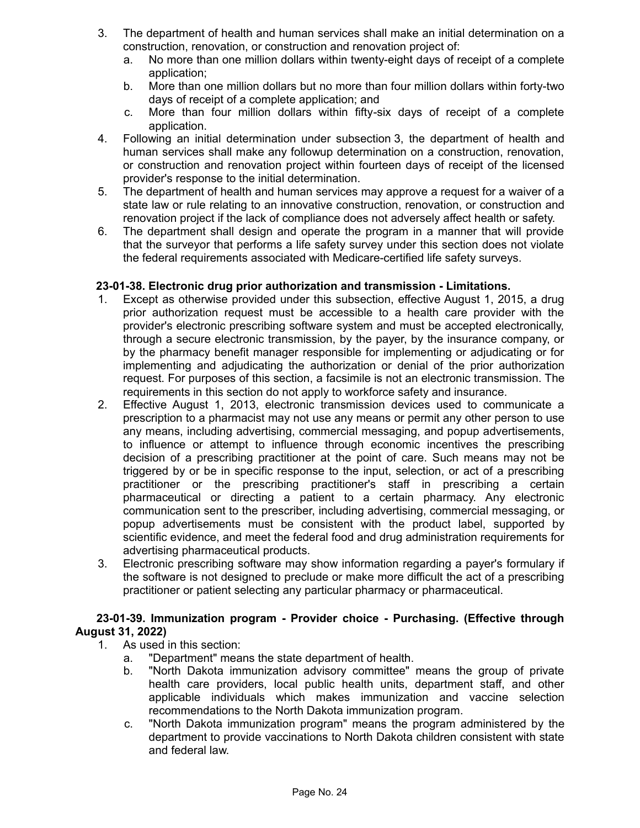- 3. The department of health and human services shall make an initial determination on a construction, renovation, or construction and renovation project of:
	- a. No more than one million dollars within twenty-eight days of receipt of a complete application;
	- b. More than one million dollars but no more than four million dollars within forty-two days of receipt of a complete application; and
	- c. More than four million dollars within fifty-six days of receipt of a complete application.
- 4. Following an initial determination under subsection 3, the department of health and human services shall make any followup determination on a construction, renovation, or construction and renovation project within fourteen days of receipt of the licensed provider's response to the initial determination.
- 5. The department of health and human services may approve a request for a waiver of a state law or rule relating to an innovative construction, renovation, or construction and renovation project if the lack of compliance does not adversely affect health or safety.
- 6. The department shall design and operate the program in a manner that will provide that the surveyor that performs a life safety survey under this section does not violate the federal requirements associated with Medicare-certified life safety surveys.

# **23-01-38. Electronic drug prior authorization and transmission - Limitations.**

- 1. Except as otherwise provided under this subsection, effective August 1, 2015, a drug prior authorization request must be accessible to a health care provider with the provider's electronic prescribing software system and must be accepted electronically, through a secure electronic transmission, by the payer, by the insurance company, or by the pharmacy benefit manager responsible for implementing or adjudicating or for implementing and adjudicating the authorization or denial of the prior authorization request. For purposes of this section, a facsimile is not an electronic transmission. The requirements in this section do not apply to workforce safety and insurance.
- 2. Effective August 1, 2013, electronic transmission devices used to communicate a prescription to a pharmacist may not use any means or permit any other person to use any means, including advertising, commercial messaging, and popup advertisements, to influence or attempt to influence through economic incentives the prescribing decision of a prescribing practitioner at the point of care. Such means may not be triggered by or be in specific response to the input, selection, or act of a prescribing practitioner or the prescribing practitioner's staff in prescribing a certain pharmaceutical or directing a patient to a certain pharmacy. Any electronic communication sent to the prescriber, including advertising, commercial messaging, or popup advertisements must be consistent with the product label, supported by scientific evidence, and meet the federal food and drug administration requirements for advertising pharmaceutical products.
- 3. Electronic prescribing software may show information regarding a payer's formulary if the software is not designed to preclude or make more difficult the act of a prescribing practitioner or patient selecting any particular pharmacy or pharmaceutical.

## **23-01-39. Immunization program - Provider choice - Purchasing. (Effective through August 31, 2022)**

- 1. As used in this section:
	- a. "Department" means the state department of health.
	- b. "North Dakota immunization advisory committee" means the group of private health care providers, local public health units, department staff, and other applicable individuals which makes immunization and vaccine selection recommendations to the North Dakota immunization program.
	- c. "North Dakota immunization program" means the program administered by the department to provide vaccinations to North Dakota children consistent with state and federal law.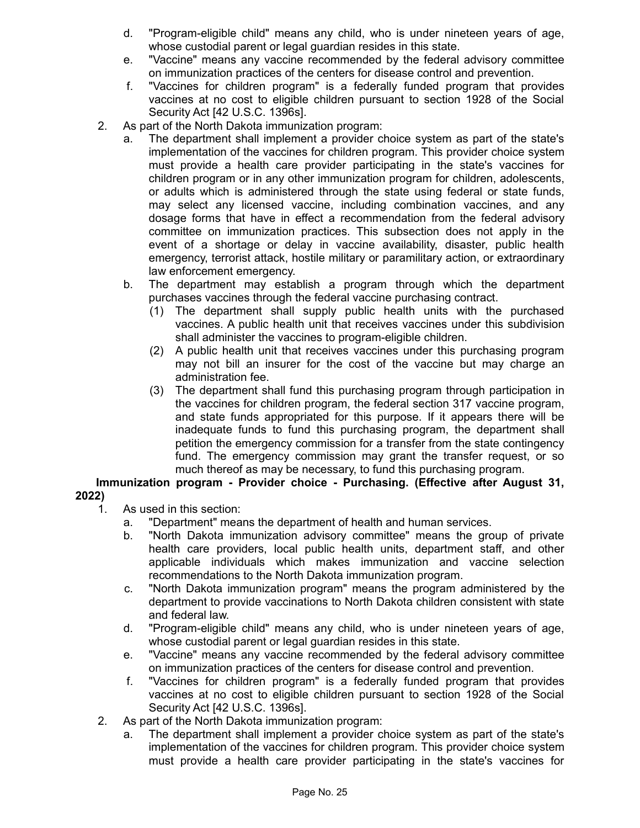- d. "Program-eligible child" means any child, who is under nineteen years of age, whose custodial parent or legal guardian resides in this state.
- e. "Vaccine" means any vaccine recommended by the federal advisory committee on immunization practices of the centers for disease control and prevention.
- f. "Vaccines for children program" is a federally funded program that provides vaccines at no cost to eligible children pursuant to section 1928 of the Social Security Act [42 U.S.C. 1396s].
- 2. As part of the North Dakota immunization program:
	- a. The department shall implement a provider choice system as part of the state's implementation of the vaccines for children program. This provider choice system must provide a health care provider participating in the state's vaccines for children program or in any other immunization program for children, adolescents, or adults which is administered through the state using federal or state funds, may select any licensed vaccine, including combination vaccines, and any dosage forms that have in effect a recommendation from the federal advisory committee on immunization practices. This subsection does not apply in the event of a shortage or delay in vaccine availability, disaster, public health emergency, terrorist attack, hostile military or paramilitary action, or extraordinary law enforcement emergency.
	- b. The department may establish a program through which the department purchases vaccines through the federal vaccine purchasing contract.
		- (1) The department shall supply public health units with the purchased vaccines. A public health unit that receives vaccines under this subdivision shall administer the vaccines to program-eligible children.
		- (2) A public health unit that receives vaccines under this purchasing program may not bill an insurer for the cost of the vaccine but may charge an administration fee.
		- (3) The department shall fund this purchasing program through participation in the vaccines for children program, the federal section 317 vaccine program, and state funds appropriated for this purpose. If it appears there will be inadequate funds to fund this purchasing program, the department shall petition the emergency commission for a transfer from the state contingency fund. The emergency commission may grant the transfer request, or so much thereof as may be necessary, to fund this purchasing program.

**Immunization program - Provider choice - Purchasing. (Effective after August 31,**

# **2022)**

- 1. As used in this section:
	- a. "Department" means the department of health and human services.
	- b. "North Dakota immunization advisory committee" means the group of private health care providers, local public health units, department staff, and other applicable individuals which makes immunization and vaccine selection recommendations to the North Dakota immunization program.
	- c. "North Dakota immunization program" means the program administered by the department to provide vaccinations to North Dakota children consistent with state and federal law.
	- d. "Program-eligible child" means any child, who is under nineteen years of age, whose custodial parent or legal guardian resides in this state.
	- e. "Vaccine" means any vaccine recommended by the federal advisory committee on immunization practices of the centers for disease control and prevention.
	- f. "Vaccines for children program" is a federally funded program that provides vaccines at no cost to eligible children pursuant to section 1928 of the Social Security Act [42 U.S.C. 1396s].
- 2. As part of the North Dakota immunization program:
	- a. The department shall implement a provider choice system as part of the state's implementation of the vaccines for children program. This provider choice system must provide a health care provider participating in the state's vaccines for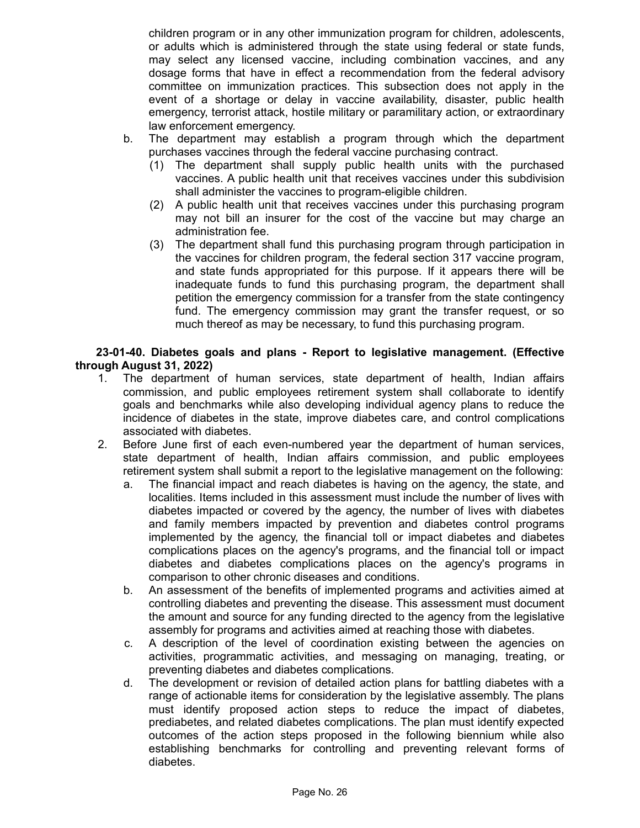children program or in any other immunization program for children, adolescents, or adults which is administered through the state using federal or state funds, may select any licensed vaccine, including combination vaccines, and any dosage forms that have in effect a recommendation from the federal advisory committee on immunization practices. This subsection does not apply in the event of a shortage or delay in vaccine availability, disaster, public health emergency, terrorist attack, hostile military or paramilitary action, or extraordinary law enforcement emergency.

- b. The department may establish a program through which the department purchases vaccines through the federal vaccine purchasing contract.
	- (1) The department shall supply public health units with the purchased vaccines. A public health unit that receives vaccines under this subdivision shall administer the vaccines to program-eligible children.
	- (2) A public health unit that receives vaccines under this purchasing program may not bill an insurer for the cost of the vaccine but may charge an administration fee.
	- (3) The department shall fund this purchasing program through participation in the vaccines for children program, the federal section 317 vaccine program, and state funds appropriated for this purpose. If it appears there will be inadequate funds to fund this purchasing program, the department shall petition the emergency commission for a transfer from the state contingency fund. The emergency commission may grant the transfer request, or so much thereof as may be necessary, to fund this purchasing program.

**23-01-40. Diabetes goals and plans - Report to legislative management. (Effective through August 31, 2022)**

- 1. The department of human services, state department of health, Indian affairs commission, and public employees retirement system shall collaborate to identify goals and benchmarks while also developing individual agency plans to reduce the incidence of diabetes in the state, improve diabetes care, and control complications associated with diabetes.
- 2. Before June first of each even-numbered year the department of human services, state department of health, Indian affairs commission, and public employees retirement system shall submit a report to the legislative management on the following:
	- a. The financial impact and reach diabetes is having on the agency, the state, and localities. Items included in this assessment must include the number of lives with diabetes impacted or covered by the agency, the number of lives with diabetes and family members impacted by prevention and diabetes control programs implemented by the agency, the financial toll or impact diabetes and diabetes complications places on the agency's programs, and the financial toll or impact diabetes and diabetes complications places on the agency's programs in comparison to other chronic diseases and conditions.
	- b. An assessment of the benefits of implemented programs and activities aimed at controlling diabetes and preventing the disease. This assessment must document the amount and source for any funding directed to the agency from the legislative assembly for programs and activities aimed at reaching those with diabetes.
	- c. A description of the level of coordination existing between the agencies on activities, programmatic activities, and messaging on managing, treating, or preventing diabetes and diabetes complications.
	- d. The development or revision of detailed action plans for battling diabetes with a range of actionable items for consideration by the legislative assembly. The plans must identify proposed action steps to reduce the impact of diabetes, prediabetes, and related diabetes complications. The plan must identify expected outcomes of the action steps proposed in the following biennium while also establishing benchmarks for controlling and preventing relevant forms of diabetes.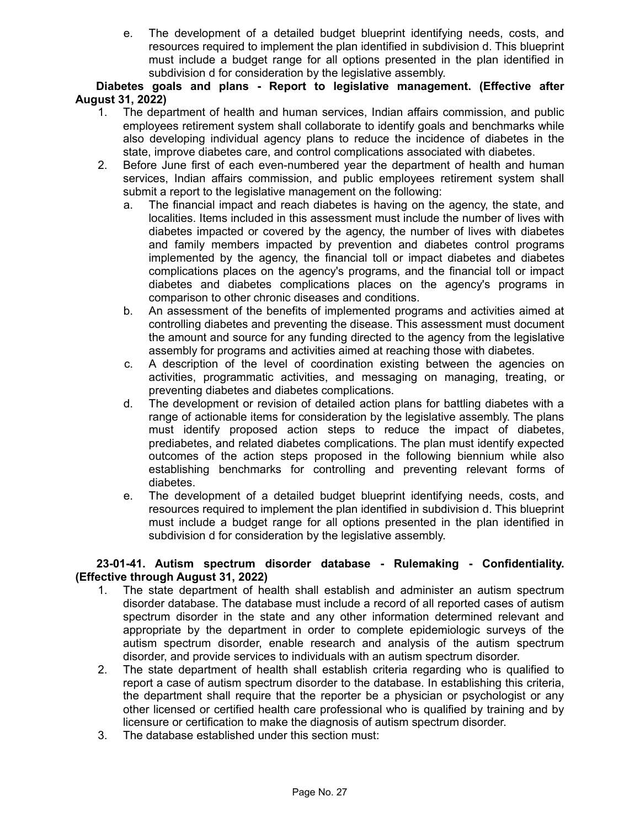e. The development of a detailed budget blueprint identifying needs, costs, and resources required to implement the plan identified in subdivision d. This blueprint must include a budget range for all options presented in the plan identified in subdivision d for consideration by the legislative assembly.

**Diabetes goals and plans - Report to legislative management. (Effective after August 31, 2022)**

- 1. The department of health and human services, Indian affairs commission, and public employees retirement system shall collaborate to identify goals and benchmarks while also developing individual agency plans to reduce the incidence of diabetes in the state, improve diabetes care, and control complications associated with diabetes.
- 2. Before June first of each even-numbered year the department of health and human services, Indian affairs commission, and public employees retirement system shall submit a report to the legislative management on the following:
	- a. The financial impact and reach diabetes is having on the agency, the state, and localities. Items included in this assessment must include the number of lives with diabetes impacted or covered by the agency, the number of lives with diabetes and family members impacted by prevention and diabetes control programs implemented by the agency, the financial toll or impact diabetes and diabetes complications places on the agency's programs, and the financial toll or impact diabetes and diabetes complications places on the agency's programs in comparison to other chronic diseases and conditions.
	- b. An assessment of the benefits of implemented programs and activities aimed at controlling diabetes and preventing the disease. This assessment must document the amount and source for any funding directed to the agency from the legislative assembly for programs and activities aimed at reaching those with diabetes.
	- c. A description of the level of coordination existing between the agencies on activities, programmatic activities, and messaging on managing, treating, or preventing diabetes and diabetes complications.
	- d. The development or revision of detailed action plans for battling diabetes with a range of actionable items for consideration by the legislative assembly. The plans must identify proposed action steps to reduce the impact of diabetes, prediabetes, and related diabetes complications. The plan must identify expected outcomes of the action steps proposed in the following biennium while also establishing benchmarks for controlling and preventing relevant forms of diabetes.
	- e. The development of a detailed budget blueprint identifying needs, costs, and resources required to implement the plan identified in subdivision d. This blueprint must include a budget range for all options presented in the plan identified in subdivision d for consideration by the legislative assembly.

## **23-01-41. Autism spectrum disorder database - Rulemaking - Confidentiality. (Effective through August 31, 2022)**

- 1. The state department of health shall establish and administer an autism spectrum disorder database. The database must include a record of all reported cases of autism spectrum disorder in the state and any other information determined relevant and appropriate by the department in order to complete epidemiologic surveys of the autism spectrum disorder, enable research and analysis of the autism spectrum disorder, and provide services to individuals with an autism spectrum disorder.
- 2. The state department of health shall establish criteria regarding who is qualified to report a case of autism spectrum disorder to the database. In establishing this criteria, the department shall require that the reporter be a physician or psychologist or any other licensed or certified health care professional who is qualified by training and by licensure or certification to make the diagnosis of autism spectrum disorder.
- 3. The database established under this section must: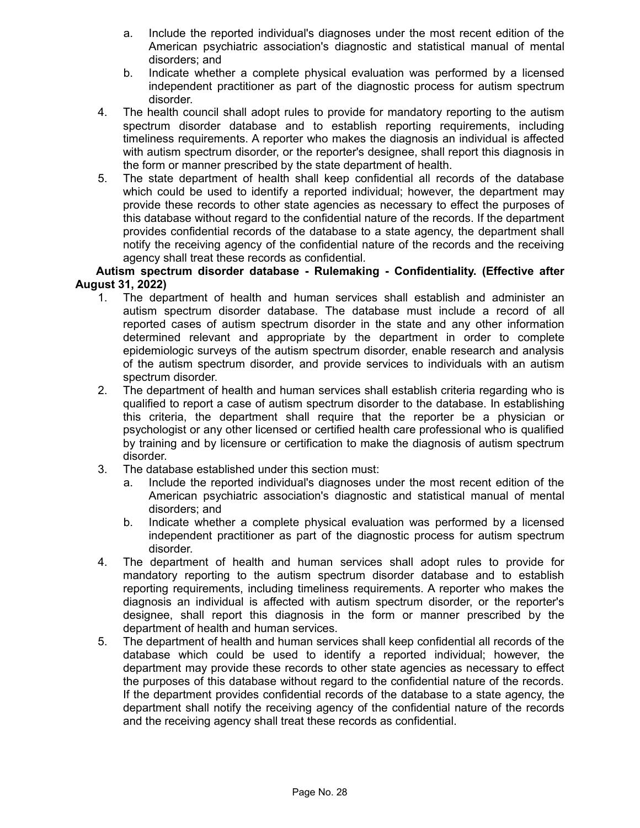- a. Include the reported individual's diagnoses under the most recent edition of the American psychiatric association's diagnostic and statistical manual of mental disorders; and
- b. Indicate whether a complete physical evaluation was performed by a licensed independent practitioner as part of the diagnostic process for autism spectrum disorder.
- 4. The health council shall adopt rules to provide for mandatory reporting to the autism spectrum disorder database and to establish reporting requirements, including timeliness requirements. A reporter who makes the diagnosis an individual is affected with autism spectrum disorder, or the reporter's designee, shall report this diagnosis in the form or manner prescribed by the state department of health.
- 5. The state department of health shall keep confidential all records of the database which could be used to identify a reported individual; however, the department may provide these records to other state agencies as necessary to effect the purposes of this database without regard to the confidential nature of the records. If the department provides confidential records of the database to a state agency, the department shall notify the receiving agency of the confidential nature of the records and the receiving agency shall treat these records as confidential.

# **Autism spectrum disorder database - Rulemaking - Confidentiality. (Effective after August 31, 2022)**

- 1. The department of health and human services shall establish and administer an autism spectrum disorder database. The database must include a record of all reported cases of autism spectrum disorder in the state and any other information determined relevant and appropriate by the department in order to complete epidemiologic surveys of the autism spectrum disorder, enable research and analysis of the autism spectrum disorder, and provide services to individuals with an autism spectrum disorder.
- 2. The department of health and human services shall establish criteria regarding who is qualified to report a case of autism spectrum disorder to the database. In establishing this criteria, the department shall require that the reporter be a physician or psychologist or any other licensed or certified health care professional who is qualified by training and by licensure or certification to make the diagnosis of autism spectrum disorder.
- 3. The database established under this section must:
	- a. Include the reported individual's diagnoses under the most recent edition of the American psychiatric association's diagnostic and statistical manual of mental disorders; and
	- b. Indicate whether a complete physical evaluation was performed by a licensed independent practitioner as part of the diagnostic process for autism spectrum disorder.
- 4. The department of health and human services shall adopt rules to provide for mandatory reporting to the autism spectrum disorder database and to establish reporting requirements, including timeliness requirements. A reporter who makes the diagnosis an individual is affected with autism spectrum disorder, or the reporter's designee, shall report this diagnosis in the form or manner prescribed by the department of health and human services.
- 5. The department of health and human services shall keep confidential all records of the database which could be used to identify a reported individual; however, the department may provide these records to other state agencies as necessary to effect the purposes of this database without regard to the confidential nature of the records. If the department provides confidential records of the database to a state agency, the department shall notify the receiving agency of the confidential nature of the records and the receiving agency shall treat these records as confidential.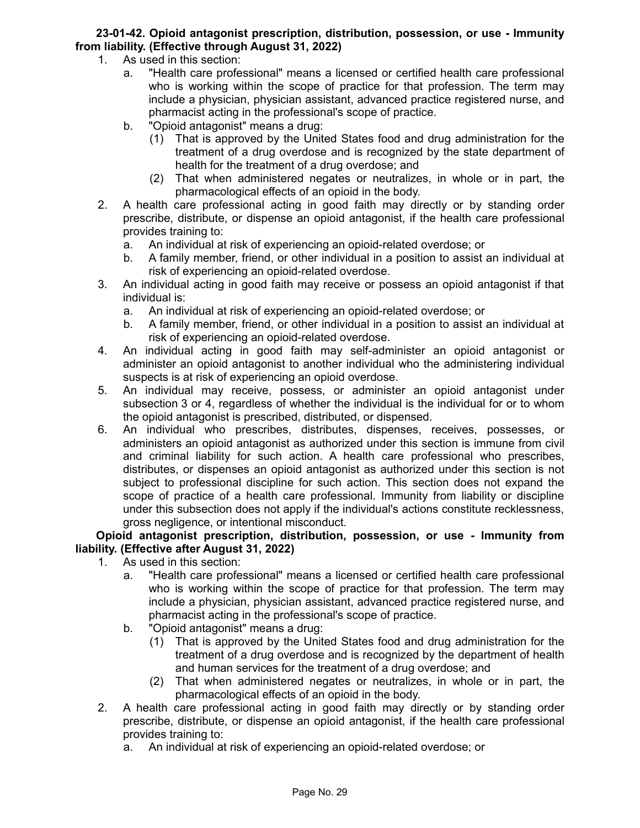# **23-01-42. Opioid antagonist prescription, distribution, possession, or use - Immunity from liability. (Effective through August 31, 2022)**

- 1. As used in this section:
	- a. "Health care professional" means a licensed or certified health care professional who is working within the scope of practice for that profession. The term may include a physician, physician assistant, advanced practice registered nurse, and pharmacist acting in the professional's scope of practice.
	- b. "Opioid antagonist" means a drug:
		- (1) That is approved by the United States food and drug administration for the treatment of a drug overdose and is recognized by the state department of health for the treatment of a drug overdose; and
		- (2) That when administered negates or neutralizes, in whole or in part, the pharmacological effects of an opioid in the body.
- 2. A health care professional acting in good faith may directly or by standing order prescribe, distribute, or dispense an opioid antagonist, if the health care professional provides training to:
	- a. An individual at risk of experiencing an opioid-related overdose; or
	- b. A family member, friend, or other individual in a position to assist an individual at risk of experiencing an opioid-related overdose.
- 3. An individual acting in good faith may receive or possess an opioid antagonist if that individual is:
	- a. An individual at risk of experiencing an opioid-related overdose; or
	- b. A family member, friend, or other individual in a position to assist an individual at risk of experiencing an opioid-related overdose.
- 4. An individual acting in good faith may self-administer an opioid antagonist or administer an opioid antagonist to another individual who the administering individual suspects is at risk of experiencing an opioid overdose.
- 5. An individual may receive, possess, or administer an opioid antagonist under subsection 3 or 4, regardless of whether the individual is the individual for or to whom the opioid antagonist is prescribed, distributed, or dispensed.
- 6. An individual who prescribes, distributes, dispenses, receives, possesses, or administers an opioid antagonist as authorized under this section is immune from civil and criminal liability for such action. A health care professional who prescribes, distributes, or dispenses an opioid antagonist as authorized under this section is not subject to professional discipline for such action. This section does not expand the scope of practice of a health care professional. Immunity from liability or discipline under this subsection does not apply if the individual's actions constitute recklessness, gross negligence, or intentional misconduct.

## **Opioid antagonist prescription, distribution, possession, or use - Immunity from liability. (Effective after August 31, 2022)**

- 1. As used in this section:
	- a. "Health care professional" means a licensed or certified health care professional who is working within the scope of practice for that profession. The term may include a physician, physician assistant, advanced practice registered nurse, and pharmacist acting in the professional's scope of practice.
	- b. "Opioid antagonist" means a drug:
		- (1) That is approved by the United States food and drug administration for the treatment of a drug overdose and is recognized by the department of health and human services for the treatment of a drug overdose; and
		- (2) That when administered negates or neutralizes, in whole or in part, the pharmacological effects of an opioid in the body.
- 2. A health care professional acting in good faith may directly or by standing order prescribe, distribute, or dispense an opioid antagonist, if the health care professional provides training to:
	- a. An individual at risk of experiencing an opioid-related overdose; or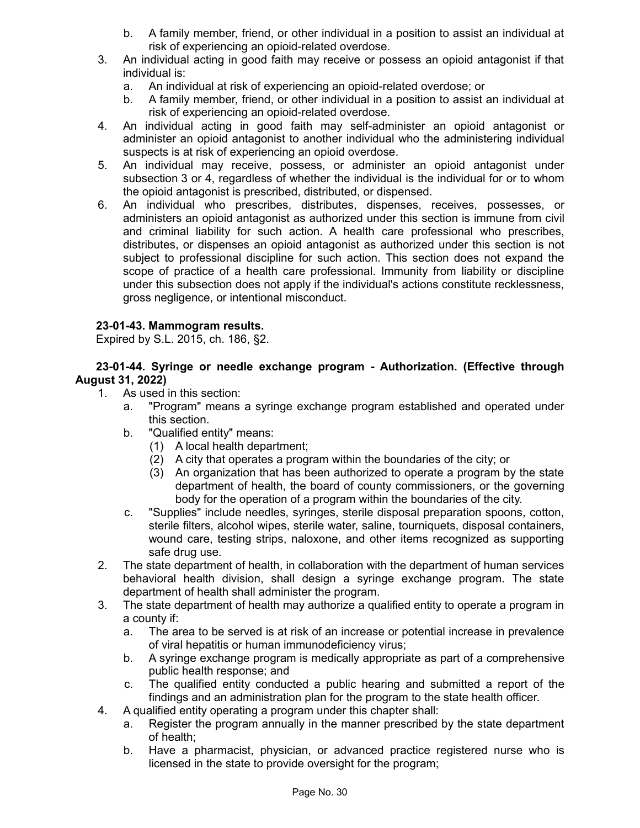- b. A family member, friend, or other individual in a position to assist an individual at risk of experiencing an opioid-related overdose.
- 3. An individual acting in good faith may receive or possess an opioid antagonist if that individual is:
	- a. An individual at risk of experiencing an opioid-related overdose; or
	- b. A family member, friend, or other individual in a position to assist an individual at risk of experiencing an opioid-related overdose.
- 4. An individual acting in good faith may self-administer an opioid antagonist or administer an opioid antagonist to another individual who the administering individual suspects is at risk of experiencing an opioid overdose.
- 5. An individual may receive, possess, or administer an opioid antagonist under subsection 3 or 4, regardless of whether the individual is the individual for or to whom the opioid antagonist is prescribed, distributed, or dispensed.
- 6. An individual who prescribes, distributes, dispenses, receives, possesses, or administers an opioid antagonist as authorized under this section is immune from civil and criminal liability for such action. A health care professional who prescribes, distributes, or dispenses an opioid antagonist as authorized under this section is not subject to professional discipline for such action. This section does not expand the scope of practice of a health care professional. Immunity from liability or discipline under this subsection does not apply if the individual's actions constitute recklessness, gross negligence, or intentional misconduct.

# **23-01-43. Mammogram results.**

Expired by S.L. 2015, ch. 186, §2.

**23-01-44. Syringe or needle exchange program - Authorization. (Effective through August 31, 2022)**

- 1. As used in this section:
	- a. "Program" means a syringe exchange program established and operated under this section.
	- b. "Qualified entity" means:
		- (1) A local health department;
		- (2) A city that operates a program within the boundaries of the city; or
		- (3) An organization that has been authorized to operate a program by the state department of health, the board of county commissioners, or the governing body for the operation of a program within the boundaries of the city.
	- c. "Supplies" include needles, syringes, sterile disposal preparation spoons, cotton, sterile filters, alcohol wipes, sterile water, saline, tourniquets, disposal containers, wound care, testing strips, naloxone, and other items recognized as supporting safe drug use.
- 2. The state department of health, in collaboration with the department of human services behavioral health division, shall design a syringe exchange program. The state department of health shall administer the program.
- 3. The state department of health may authorize a qualified entity to operate a program in a county if:
	- a. The area to be served is at risk of an increase or potential increase in prevalence of viral hepatitis or human immunodeficiency virus;
	- b. A syringe exchange program is medically appropriate as part of a comprehensive public health response; and
	- c. The qualified entity conducted a public hearing and submitted a report of the findings and an administration plan for the program to the state health officer.
- 4. A qualified entity operating a program under this chapter shall:
	- a. Register the program annually in the manner prescribed by the state department of health;
	- b. Have a pharmacist, physician, or advanced practice registered nurse who is licensed in the state to provide oversight for the program;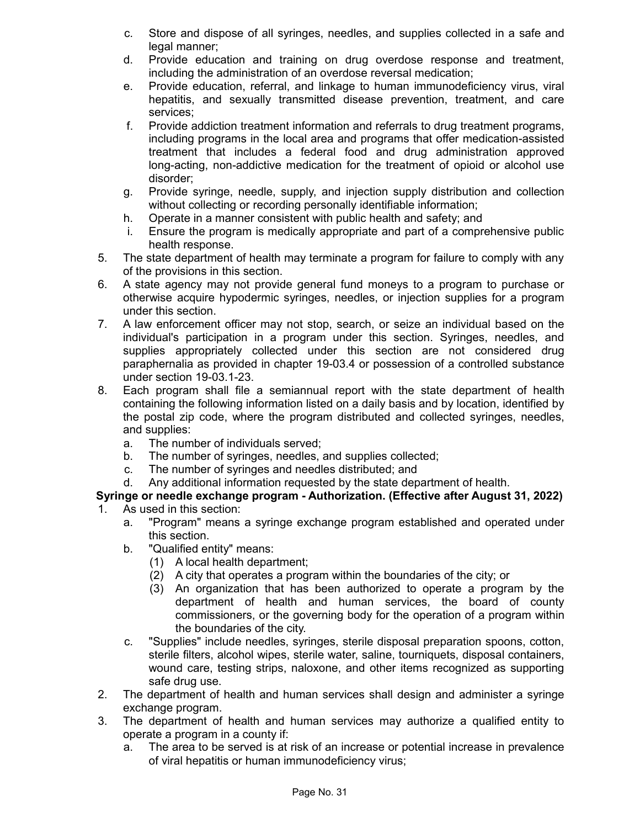- c. Store and dispose of all syringes, needles, and supplies collected in a safe and legal manner;
- d. Provide education and training on drug overdose response and treatment, including the administration of an overdose reversal medication;
- e. Provide education, referral, and linkage to human immunodeficiency virus, viral hepatitis, and sexually transmitted disease prevention, treatment, and care services;
- f. Provide addiction treatment information and referrals to drug treatment programs, including programs in the local area and programs that offer medication-assisted treatment that includes a federal food and drug administration approved long-acting, non-addictive medication for the treatment of opioid or alcohol use disorder;
- g. Provide syringe, needle, supply, and injection supply distribution and collection without collecting or recording personally identifiable information;
- h. Operate in a manner consistent with public health and safety; and
- i. Ensure the program is medically appropriate and part of a comprehensive public health response.
- 5. The state department of health may terminate a program for failure to comply with any of the provisions in this section.
- 6. A state agency may not provide general fund moneys to a program to purchase or otherwise acquire hypodermic syringes, needles, or injection supplies for a program under this section.
- 7. A law enforcement officer may not stop, search, or seize an individual based on the individual's participation in a program under this section. Syringes, needles, and supplies appropriately collected under this section are not considered drug paraphernalia as provided in chapter 19-03.4 or possession of a controlled substance under section 19-03.1-23.
- 8. Each program shall file a semiannual report with the state department of health containing the following information listed on a daily basis and by location, identified by the postal zip code, where the program distributed and collected syringes, needles, and supplies:
	- a. The number of individuals served;
	- b. The number of syringes, needles, and supplies collected;
	- c. The number of syringes and needles distributed; and
	- d. Any additional information requested by the state department of health.

# **Syringe or needle exchange program - Authorization. (Effective after August 31, 2022)**

- 1. As used in this section:
	- a. "Program" means a syringe exchange program established and operated under this section.
	- b. "Qualified entity" means:
		- (1) A local health department;
		- (2) A city that operates a program within the boundaries of the city; or
		- (3) An organization that has been authorized to operate a program by the department of health and human services, the board of county commissioners, or the governing body for the operation of a program within the boundaries of the city.
	- c. "Supplies" include needles, syringes, sterile disposal preparation spoons, cotton, sterile filters, alcohol wipes, sterile water, saline, tourniquets, disposal containers, wound care, testing strips, naloxone, and other items recognized as supporting safe drug use.
- 2. The department of health and human services shall design and administer a syringe exchange program.
- 3. The department of health and human services may authorize a qualified entity to operate a program in a county if:
	- a. The area to be served is at risk of an increase or potential increase in prevalence of viral hepatitis or human immunodeficiency virus;